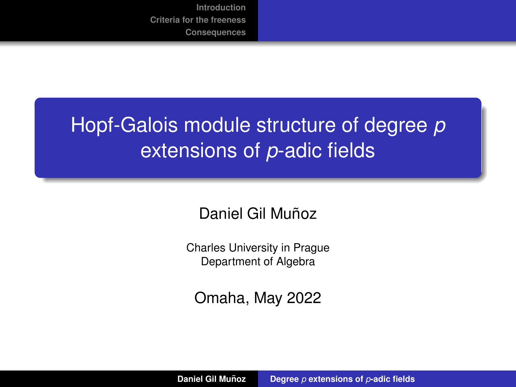# <span id="page-0-0"></span>Hopf-Galois module structure of degree *p* extensions of *p*-adic fields

Daniel Gil Muñoz

Charles University in Prague Department of Algebra

Omaha, May 2022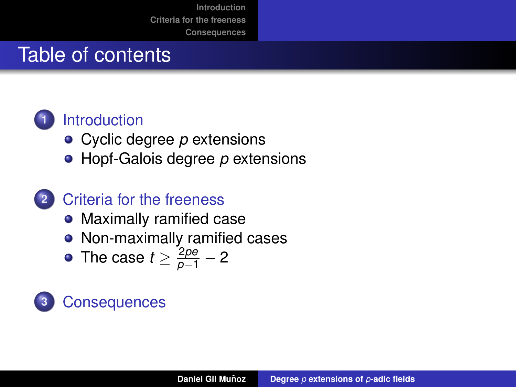# Table of contents



### **1** [Introduction](#page-2-0)

- [Cyclic degree](#page-10-0) *p* extensions
- [Hopf-Galois degree](#page-20-0) *p* extensions
- **2** [Criteria for the freeness](#page-41-0)
	- [Maximally ramified case](#page-42-0)
	- [Non-maximally ramified cases](#page-53-0)
	- [The case](#page-71-0)  $t \geq \frac{2pe}{p-1}-2$

# **3** [Consequences](#page-116-0)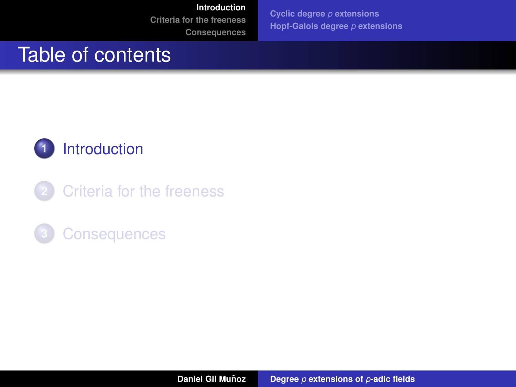**[Cyclic degree](#page-10-0)** *p* **extensions [Hopf-Galois degree](#page-20-0)** *p* **extensions**

### <span id="page-2-0"></span>Table of contents



**2** [Criteria for the freeness](#page-41-0)

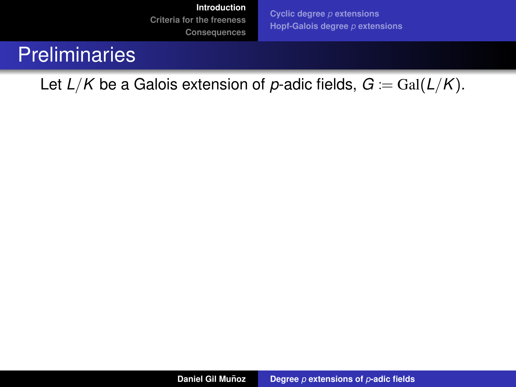**[Cyclic degree](#page-10-0)** *p* **extensions [Hopf-Galois degree](#page-20-0)** *p* **extensions**

### **Preliminaries**

Let  $L/K$  be a Galois extension of p-adic fields,  $G = \text{Gal}(L/K)$ .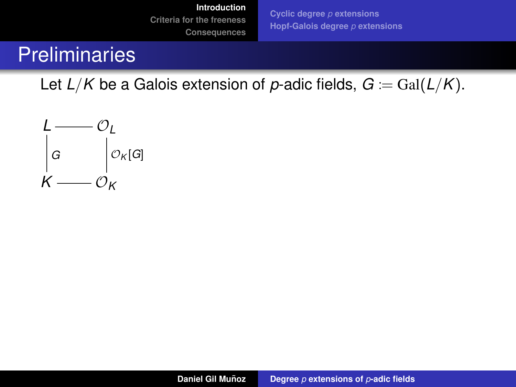**[Cyclic degree](#page-10-0)** *p* **extensions [Hopf-Galois degree](#page-20-0)** *p* **extensions**

# **Preliminaries**

Let  $L/K$  be a Galois extension of p-adic fields,  $G = \text{Gal}(L/K)$ .

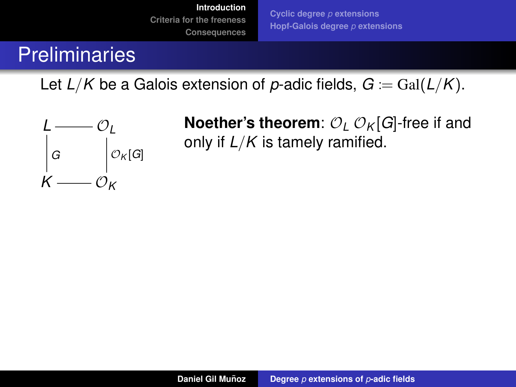**[Cyclic degree](#page-10-0)** *p* **extensions [Hopf-Galois degree](#page-20-0)** *p* **extensions**

# **Preliminaries**

Let  $L/K$  be a Galois extension of p-adic fields,  $G = \text{Gal}(L/K)$ .



**Noether's theorem:**  $\mathcal{O}_L$   $\mathcal{O}_K[G]$ -free if and only if *L*/*K* is tamely ramified.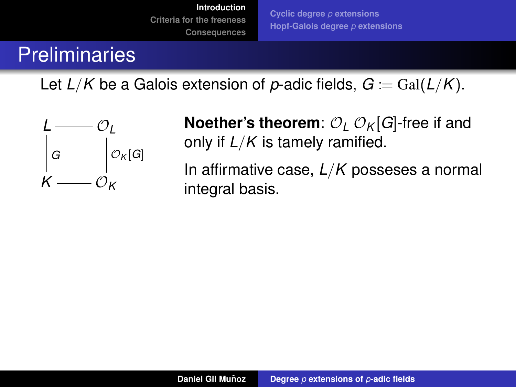**[Cyclic degree](#page-10-0)** *p* **extensions [Hopf-Galois degree](#page-20-0)** *p* **extensions**

# **Preliminaries**

Let  $L/K$  be a Galois extension of p-adic fields,  $G = \text{Gal}(L/K)$ .



**Noether's theorem:**  $O_L O_K[G]$ -free if and only if *L*/*K* is tamely ramified.

In affirmative case, *L*/*K* posseses a normal integral basis.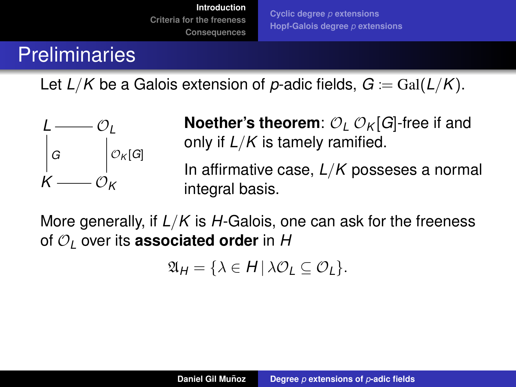**[Cyclic degree](#page-10-0)** *p* **extensions [Hopf-Galois degree](#page-20-0)** *p* **extensions**

# **Preliminaries**

Let  $L/K$  be a Galois extension of p-adic fields,  $G = \text{Gal}(L/K)$ .



**Noether's theorem:**  $O_L O_K[G]$ -free if and only if *L*/*K* is tamely ramified.

In affirmative case, *L*/*K* posseses a normal integral basis.

More generally, if *L*/*K* is *H*-Galois, one can ask for the freeness of O*<sup>L</sup>* over its **associated order** in *H*

$$
\mathfrak{A}_H = \{ \lambda \in H \, | \, \lambda \mathcal{O}_L \subseteq \mathcal{O}_L \}.
$$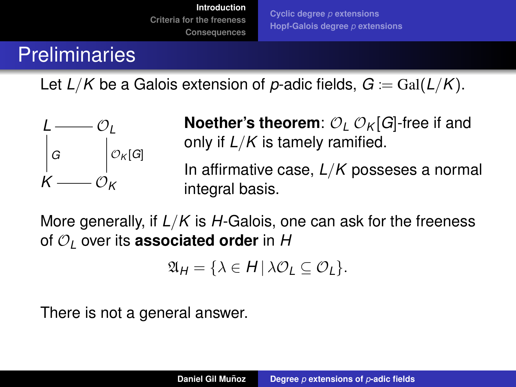**[Cyclic degree](#page-10-0)** *p* **extensions [Hopf-Galois degree](#page-20-0)** *p* **extensions**

# **Preliminaries**

Let  $L/K$  be a Galois extension of p-adic fields,  $G = \text{Gal}(L/K)$ .



**Noether's theorem:**  $O_L O_K[G]$ -free if and only if *L*/*K* is tamely ramified.

In affirmative case, *L*/*K* posseses a normal integral basis.

More generally, if *L*/*K* is *H*-Galois, one can ask for the freeness of O*<sup>L</sup>* over its **associated order** in *H*

$$
\mathfrak{A}_H = \{ \lambda \in H \, | \, \lambda \mathcal{O}_L \subseteq \mathcal{O}_L \}.
$$

There is not a general answer.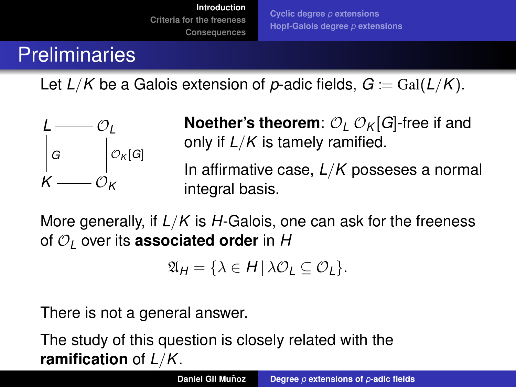**[Cyclic degree](#page-10-0)** *p* **extensions [Hopf-Galois degree](#page-20-0)** *p* **extensions**

# **Preliminaries**

Let  $L/K$  be a Galois extension of p-adic fields,  $G = \text{Gal}(L/K)$ .



**Noether's theorem:**  $O_L O_K[G]$ -free if and only if *L*/*K* is tamely ramified.

In affirmative case, *L*/*K* posseses a normal integral basis.

More generally, if *L*/*K* is *H*-Galois, one can ask for the freeness of O*<sup>L</sup>* over its **associated order** in *H*

$$
\mathfrak{A}_H = \{ \lambda \in H \, | \, \lambda \mathcal{O}_L \subseteq \mathcal{O}_L \}.
$$

There is not a general answer.

The study of this question is closely related with the **ramification** of *L*/*K*.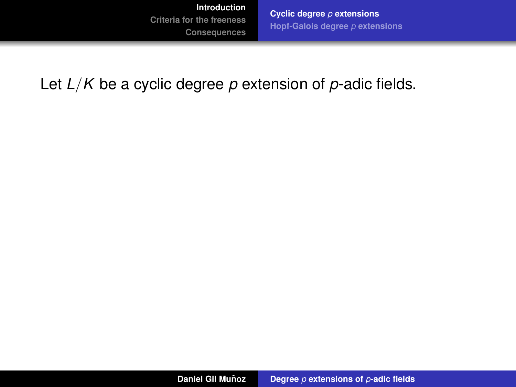**[Cyclic degree](#page-15-0)** *p* **extensions [Hopf-Galois degree](#page-20-0)** *p* **extensions**

<span id="page-10-0"></span>Let *L*/*K* be a cyclic degree *p* extension of *p*-adic fields.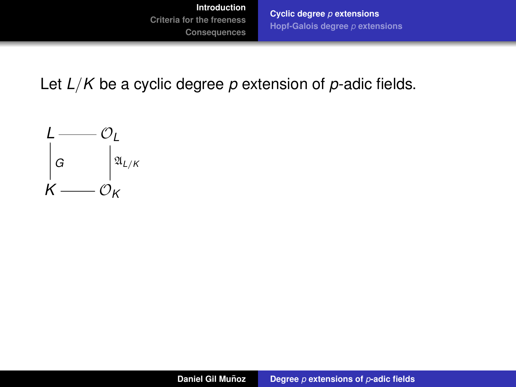**[Cyclic degree](#page-15-0)** *p* **extensions [Hopf-Galois degree](#page-20-0)** *p* **extensions**

Let *L*/*K* be a cyclic degree *p* extension of *p*-adic fields.

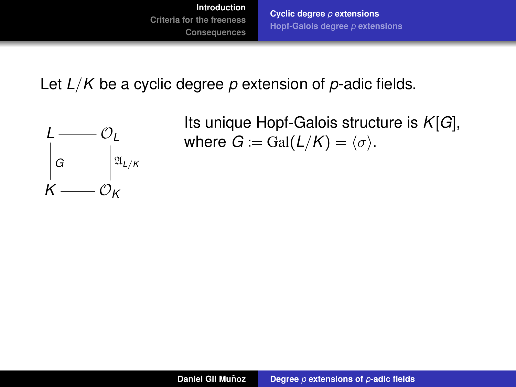**[Cyclic degree](#page-15-0)** *p* **extensions [Hopf-Galois degree](#page-20-0)** *p* **extensions**

Let *L*/*K* be a cyclic degree *p* extension of *p*-adic fields.



Its unique Hopf-Galois structure is *K*[*G*], where  $G = \text{Gal}(L/K) = \langle \sigma \rangle$ .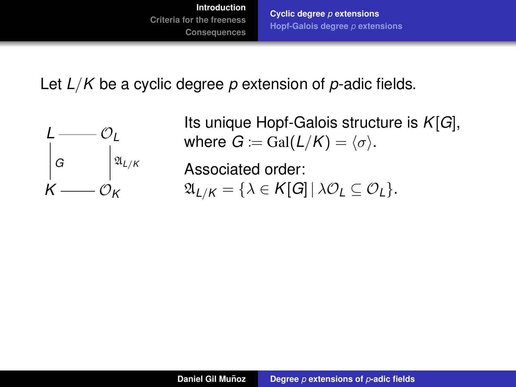**[Cyclic degree](#page-15-0)** *p* **extensions [Hopf-Galois degree](#page-20-0)** *p* **extensions**

Let *L*/*K* be a cyclic degree *p* extension of *p*-adic fields.



Its unique Hopf-Galois structure is *K*[*G*], where  $G = \text{Gal}(L/K) = \langle \sigma \rangle$ .

Associated order:  $\mathfrak{A}_{L/K} = {\lambda \in K[G] \mid \lambda \mathcal{O}_L \subseteq \mathcal{O}_L}.$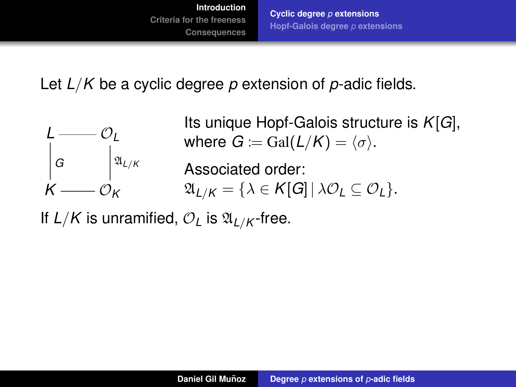**[Cyclic degree](#page-15-0)** *p* **extensions [Hopf-Galois degree](#page-20-0)** *p* **extensions**

Let *L*/*K* be a cyclic degree *p* extension of *p*-adic fields.



Its unique Hopf-Galois structure is *K*[*G*], where  $G = \text{Gal}(L/K) = \langle \sigma \rangle$ .

Associated order:  $\mathfrak{A}_{L/K} = \{ \lambda \in \mathcal{K}[G] \, | \, \lambda \mathcal{O}_L \subseteq \mathcal{O}_L \}.$ 

If  $L/K$  is unramified,  $\mathcal{O}_L$  is  $\mathfrak{A}_{L/K}$ -free.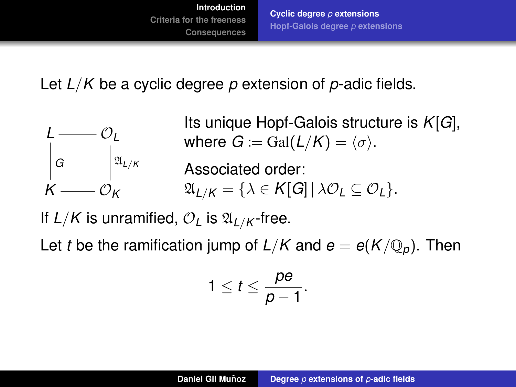**[Cyclic degree](#page-10-0)** *p* **extensions [Hopf-Galois degree](#page-20-0)** *p* **extensions**

<span id="page-15-0"></span>Let *L*/*K* be a cyclic degree *p* extension of *p*-adic fields.



Its unique Hopf-Galois structure is *K*[*G*], where  $G := \text{Gal}(L/K) = \langle \sigma \rangle$ .

Associated order:  $\mathfrak{A}_{L/K} = \{ \lambda \in K[G] \, | \, \lambda \mathcal{O}_L \subseteq \mathcal{O}_L \}.$ 

If  $L/K$  is unramified,  $\mathcal{O}_L$  is  $\mathfrak{A}_{L/K}$ -free.

Let *t* be the ramification jump of  $L/K$  and  $e = e(K/\mathbb{Q}_p)$ . Then

$$
1\leq t\leq \frac{pe}{p-1}.
$$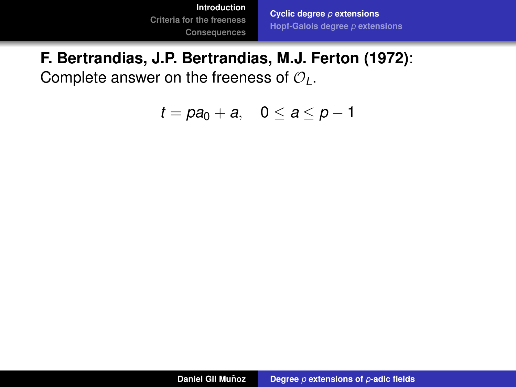**[Cyclic degree](#page-10-0)** *p* **extensions [Hopf-Galois degree](#page-20-0)** *p* **extensions**

#### **F. Bertrandias, J.P. Bertrandias, M.J. Ferton (1972)**:

Complete answer on the freeness of O*L*.

 $t = pa_0 + a$ ,  $0 \le a \le p - 1$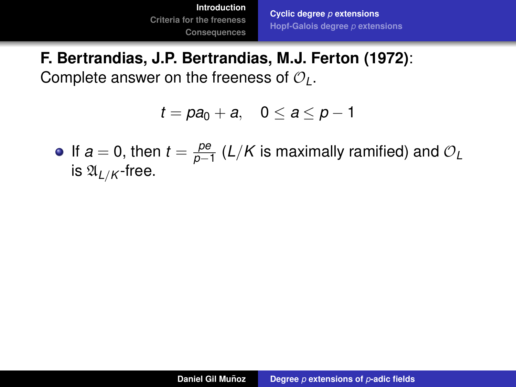**[Cyclic degree](#page-10-0)** *p* **extensions [Hopf-Galois degree](#page-20-0)** *p* **extensions**

#### **F. Bertrandias, J.P. Bertrandias, M.J. Ferton (1972)**: Complete answer on the freeness of O*L*.

 $t = pa_0 + a$ ,  $0 \le a \le p-1$ 

If  $a = 0$ , then  $t = \frac{pe}{n}$ *p*−1 (*L*/*K* is maximally ramified) and O*<sup>L</sup>* is  $\mathfrak{A}_{I/K}$ -free.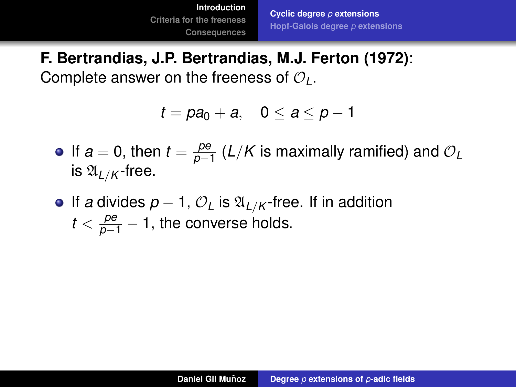**[Cyclic degree](#page-10-0)** *p* **extensions [Hopf-Galois degree](#page-20-0)** *p* **extensions**

**F. Bertrandias, J.P. Bertrandias, M.J. Ferton (1972)**: Complete answer on the freeness of O*L*.

$$
t = pa_0 + a, \quad 0 \le a \le p - 1
$$

- If  $a = 0$ , then  $t = \frac{pe}{n}$ *p*−1 (*L*/*K* is maximally ramified) and O*<sup>L</sup>* is  $\mathfrak{A}_{I/K}$ -free.
- **•** If *a* divides  $p 1$ ,  $\mathcal{O}_L$  is  $\mathfrak{A}_{L/K}$ -free. If in addition  $t < \frac{pe}{p-1} - 1$ , the converse holds.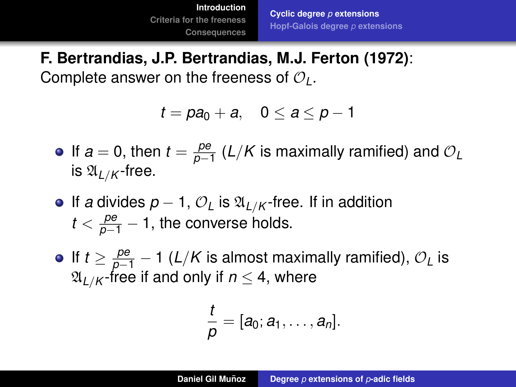**F. Bertrandias, J.P. Bertrandias, M.J. Ferton (1972)**: Complete answer on the freeness of O*L*.

$$
t = pa_0 + a, \quad 0 \le a \le p - 1
$$

- If  $a = 0$ , then  $t = \frac{pe}{n}$ *p*−1 (*L*/*K* is maximally ramified) and O*<sup>L</sup>* is  $\mathfrak{A}_{I/K}$ -free.
- **•** If *a* divides  $p 1$ ,  $\mathcal{O}_L$  is  $\mathfrak{A}_{L/K}$ -free. If in addition  $t < \frac{pe}{p-1} - 1$ , the converse holds.
- If  $t \geq \frac{pe}{p-1} 1$  (*L*/*K* is almost maximally ramified),  $\mathcal{O}_L$  is  $\mathfrak{A}_{L/K}$ -free if and only if  $n \leq 4$ , where

$$
\frac{t}{\rho}=[a_0;a_1,\ldots,a_n].
$$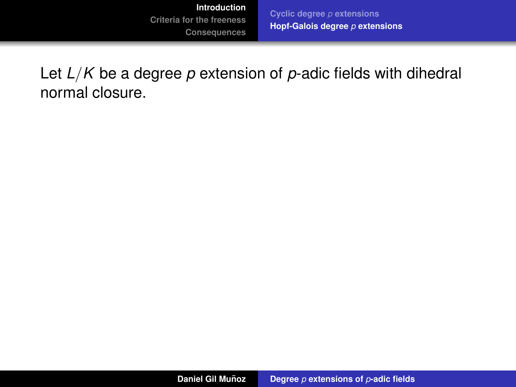<span id="page-20-0"></span>**[Cyclic degree](#page-10-0)** *p* **extensions [Hopf-Galois degree](#page-26-0)** *p* **extensions**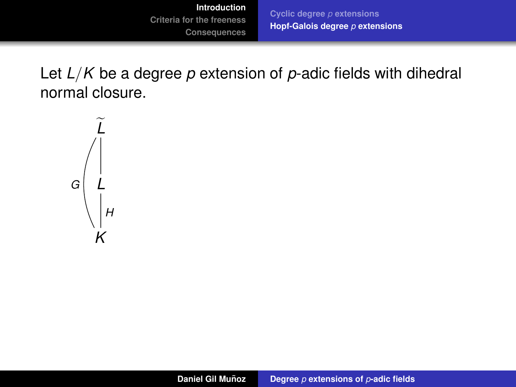**[Cyclic degree](#page-10-0)** *p* **extensions [Hopf-Galois degree](#page-26-0)** *p* **extensions**

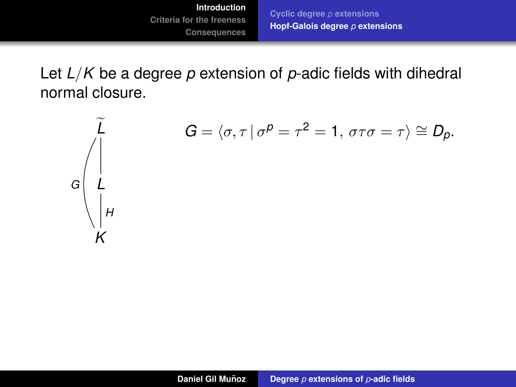**[Cyclic degree](#page-10-0)** *p* **extensions [Hopf-Galois degree](#page-26-0)** *p* **extensions**

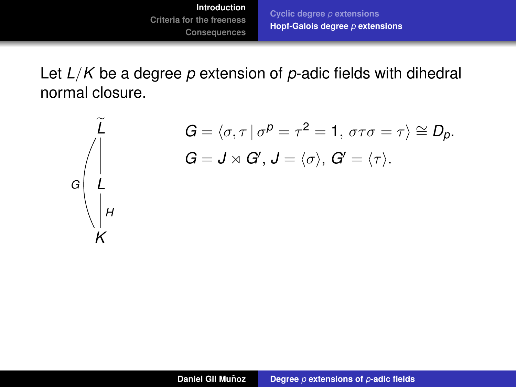**[Cyclic degree](#page-10-0)** *p* **extensions [Hopf-Galois degree](#page-26-0)** *p* **extensions**



$$
G = \langle \sigma, \tau | \sigma^p = \tau^2 = 1, \sigma \tau \sigma = \tau \rangle \cong D_p.
$$
  

$$
G = J \rtimes G', J = \langle \sigma \rangle, G' = \langle \tau \rangle.
$$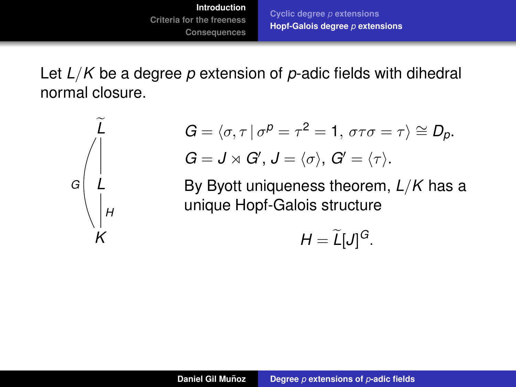**[Cyclic degree](#page-10-0)** *p* **extensions [Hopf-Galois degree](#page-26-0)** *p* **extensions**

Let *L*/*K* be a degree *p* extension of *p*-adic fields with dihedral normal closure.



$$
G = \langle \sigma, \tau | \sigma^p = \tau^2 = 1, \sigma \tau \sigma = \tau \rangle \cong D_p.
$$
  

$$
G = J \rtimes G', J = \langle \sigma \rangle, G' = \langle \tau \rangle.
$$

By Byott uniqueness theorem, *L*/*K* has a unique Hopf-Galois structure

$$
H=\widetilde{L}[J]^G.
$$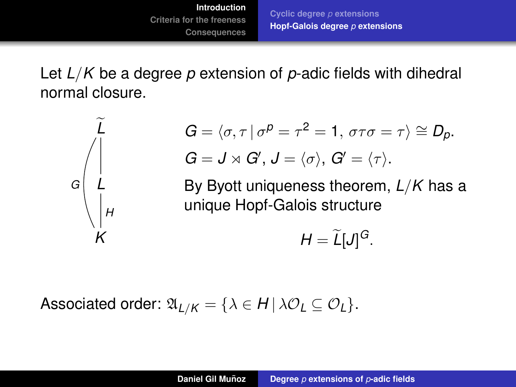**[Cyclic degree](#page-10-0)** *p* **extensions [Hopf-Galois degree](#page-26-0)** *p* **extensions**

Let *L*/*K* be a degree *p* extension of *p*-adic fields with dihedral normal closure.



$$
G = \langle \sigma, \tau | \sigma^p = \tau^2 = 1, \sigma \tau \sigma = \tau \rangle \cong D_p.
$$
  

$$
G = J \rtimes G', J = \langle \sigma \rangle, G' = \langle \tau \rangle.
$$

By Byott uniqueness theorem, *L*/*K* has a unique Hopf-Galois structure

$$
H=\widetilde{L}[J]^G.
$$

Associated order:  $\mathfrak{A}_{L/K} = \{ \lambda \in H \mid \lambda \mathcal{O}_L \subseteq \mathcal{O}_L \}.$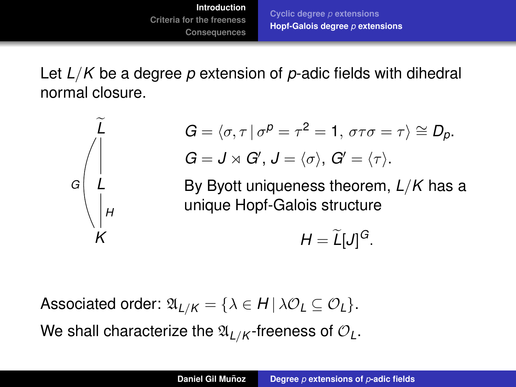**[Cyclic degree](#page-10-0)** *p* **extensions [Hopf-Galois degree](#page-20-0)** *p* **extensions**

<span id="page-26-0"></span>Let *L*/*K* be a degree *p* extension of *p*-adic fields with dihedral normal closure.



$$
G = \langle \sigma, \tau | \sigma^p = \tau^2 = 1, \sigma \tau \sigma = \tau \rangle \cong D_p.
$$
  

$$
G = J \rtimes G', J = \langle \sigma \rangle, G' = \langle \tau \rangle.
$$

By Byott uniqueness theorem, *L*/*K* has a unique Hopf-Galois structure

$$
H=\widetilde{L}[J]^G.
$$

Associated order:  $\mathfrak{A}_{L/K} = \{ \lambda \in H \mid \lambda \mathcal{O}_L \subseteq \mathcal{O}_L \}.$ We shall characterize the  $\mathfrak{A}_{L/K}$ -freeness of  $\mathcal{O}_L$ .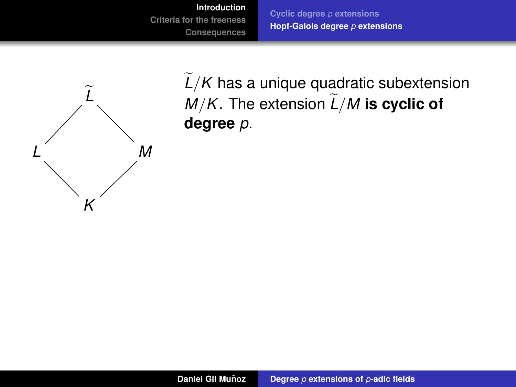**[Cyclic degree](#page-10-0)** *p* **extensions [Hopf-Galois degree](#page-20-0)** *p* **extensions**



 $L/K$  has a unique quadratic subextension  $M/K$ . The extension  $L/M$  is cyclic of **degree** *p*.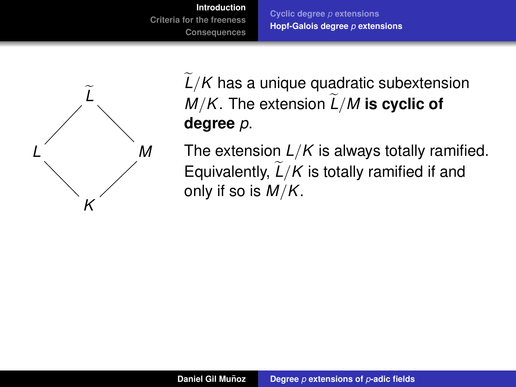**[Cyclic degree](#page-10-0)** *p* **extensions [Hopf-Galois degree](#page-20-0)** *p* **extensions**



 $L/K$  has a unique quadratic subextension *M/K*. The extension  $L/M$  is cyclic of **degree** *p*.

The extension *L*/*K* is always totally ramified. Equivalently,  $\widetilde{L}/K$  is totally ramified if and only if so is *M*/*K*.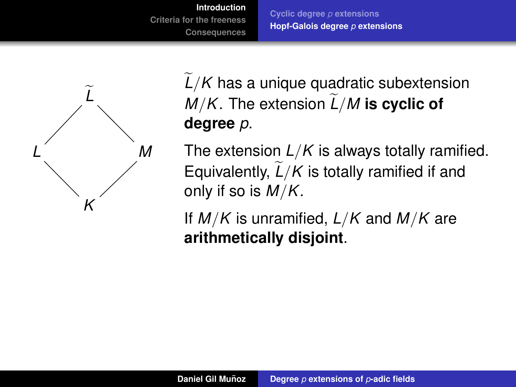**[Cyclic degree](#page-10-0)** *p* **extensions [Hopf-Galois degree](#page-20-0)** *p* **extensions**



 $L/K$  has a unique quadratic subextension *M/K*. The extension  $L/M$  is cyclic of **degree** *p*.

The extension *L*/*K* is always totally ramified. Equivalently,  $\tilde{L}/K$  is totally ramified if and only if so is *M*/*K*.

If *M*/*K* is unramified, *L*/*K* and *M*/*K* are **arithmetically disjoint**.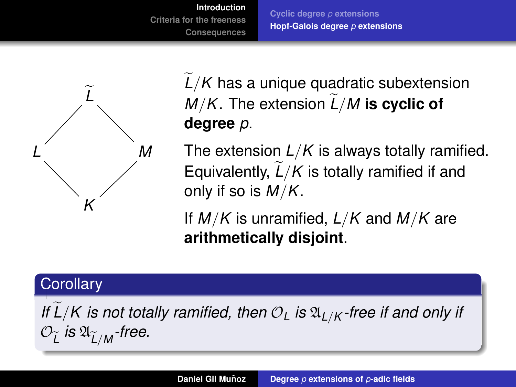**[Cyclic degree](#page-10-0)** *p* **extensions [Hopf-Galois degree](#page-20-0)** *p* **extensions**



 $L/K$  has a unique quadratic subextension *M/K*. The extension  $L/M$  is cyclic of **degree** *p*.

The extension *L*/*K* is always totally ramified. Equivalently,  $\tilde{L}/K$  is totally ramified if and only if so is *M*/*K*.

If *M*/*K* is unramified, *L*/*K* and *M*/*K* are **arithmetically disjoint**.

#### **Corollary**

*If*  $\overline{L}/K$  *is not totally ramified, then*  $\mathcal{O}_L$  *is*  $\mathfrak{A}_{L/K}$ *-free if and only if*  $\mathcal{O}_{\widetilde{L}}$  is  $\mathfrak{A}_{\widetilde{L}/M}$ -free.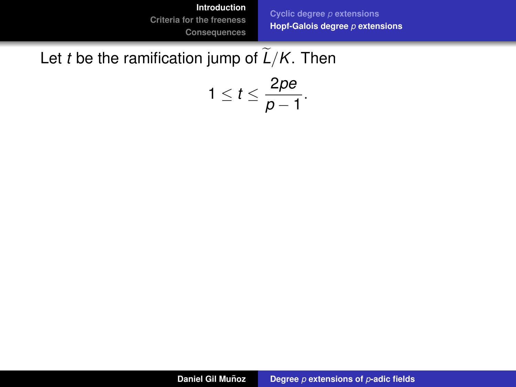**[Cyclic degree](#page-10-0)** *p* **extensions [Hopf-Galois degree](#page-20-0)** *p* **extensions**

### Let *t* be the ramification jump of  $\tilde{L}/K$ . Then

$$
1\leq t\leq \frac{2pe}{p-1}.
$$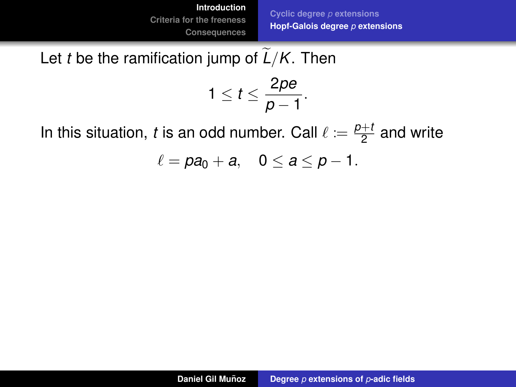**[Cyclic degree](#page-10-0)** *p* **extensions [Hopf-Galois degree](#page-20-0)** *p* **extensions**

### Let *t* be the ramification jump of  $L/K$ . Then

$$
1\leq t\leq \frac{2pe}{p-1}.
$$

In this situation, *t* is an odd number. Call  $\ell := \frac{p+1}{2}$  $\frac{+i}{2}$  and write

 $\ell = pa_0 + a$ ,  $0 \le a \le p-1$ .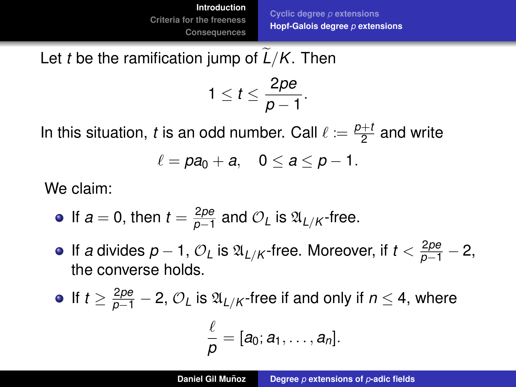**[Cyclic degree](#page-10-0)** *p* **extensions [Hopf-Galois degree](#page-20-0)** *p* **extensions**

#### Let *t* be the ramification jump of  $L/K$ . Then

$$
1\leq t\leq \frac{2pe}{p-1}.
$$

In this situation, *t* is an odd number. Call  $\ell := \frac{p+1}{2}$  $\frac{+i}{2}$  and write

$$
\ell = pa_0 + a, \quad 0 \le a \le p - 1.
$$

We claim:

• If 
$$
a = 0
$$
, then  $t = \frac{2pe}{p-1}$  and  $O_L$  is  $\mathfrak{A}_{L/K}$ -free.

If *a* divides  $p-1$ ,  $\mathcal{O}_L$  is  $\mathfrak{A}_{L/K}$  -free. Moreover, if  $t < \frac{2pe}{p-1} - 2$ , the converse holds.

• If 
$$
t \ge \frac{2pe}{p-1} - 2
$$
,  $O_L$  is  $\mathfrak{A}_{L/K}$ -free if and only if  $n \le 4$ , where

$$
\frac{\ell}{\rho}=[a_0;a_1,\ldots,a_n].
$$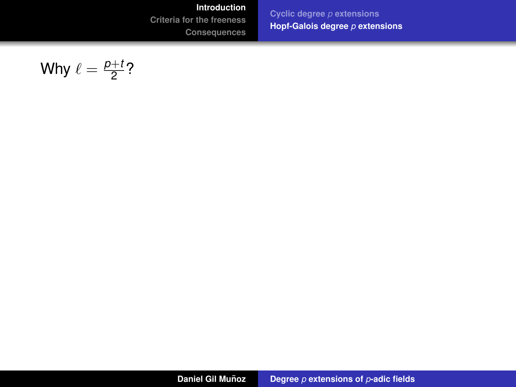**[Introduction](#page-2-0)**

**[Criteria for the freeness](#page-41-0)**

**[Consequences](#page-116-0)**

**[Cyclic degree](#page-10-0)** *p* **extensions [Hopf-Galois degree](#page-20-0)** *p* **extensions**

Why 
$$
\ell = \frac{p+t}{2}
$$
?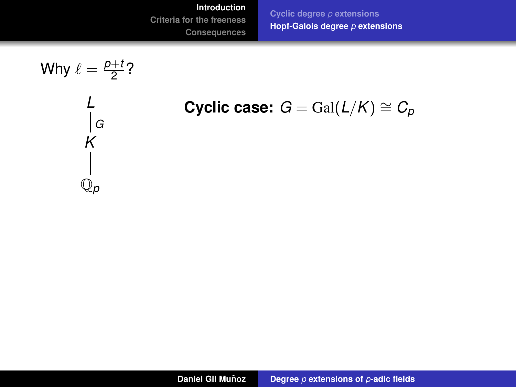**[Cyclic degree](#page-10-0)** *p* **extensions [Hopf-Galois degree](#page-20-0)** *p* **extensions**



Cyclic case: 
$$
G = \text{Gal}(L/K) \cong C_p
$$

**Daniel Gil Muñoz Degree** *p* [extensions of](#page-0-0) *p*-adic fields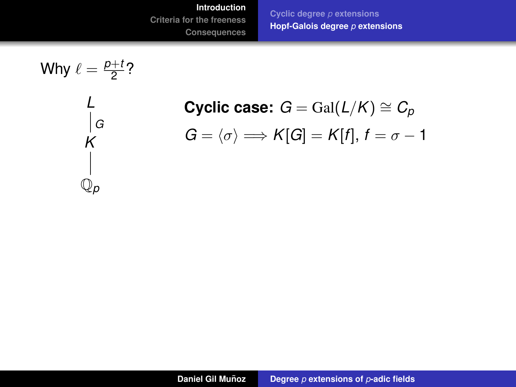**[Cyclic degree](#page-10-0)** *p* **extensions [Hopf-Galois degree](#page-20-0)** *p* **extensions**

Why 
$$
\ell = \frac{p+t}{2}
$$
?\n\n
$$
\begin{array}{c}\nL \\
L \\
R \\
K \\
\downarrow \\
Q_p\n\end{array}
$$

**Cyclic case:**  $G = \text{Gal}(L/K) \cong C_p$  $G = \langle \sigma \rangle \Longrightarrow K[G] = K[f], f = \sigma - 1$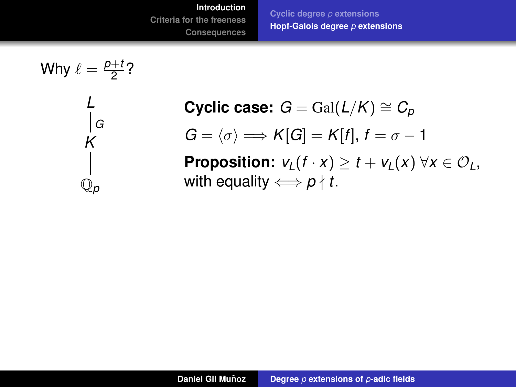**[Cyclic degree](#page-10-0)** *p* **extensions [Hopf-Galois degree](#page-20-0)** *p* **extensions**



**Cyclic case:**  $G = \text{Gal}(L/K) \cong C_p$  $G = \langle \sigma \rangle \Longrightarrow K[G] = K[f], f = \sigma - 1$ **Proposition:**  $v_1(f \cdot x) \ge t + v_1(x) \,\forall x \in \mathcal{O}_1$ , with equality  $\iff p \nmid t$ .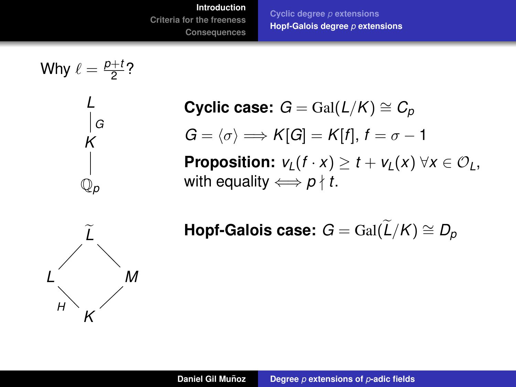**[Cyclic degree](#page-10-0)** *p* **extensions [Hopf-Galois degree](#page-20-0)** *p* **extensions**



*H*

*K*

**Cyclic case:**  $G = \text{Gal}(L/K) \cong C_p$  $G = \langle \sigma \rangle \Longrightarrow K[G] = K[f], f = \sigma - 1$ **Proposition:**  $v_1(f \cdot x) \ge t + v_1(x) \,\forall x \in \mathcal{O}_1$ , with equality  $\iff p \nmid t$ .

 $\textsf{Hopf-Galois case: } G = \operatorname{Gal}(\widetilde{L}/K) \cong D_p$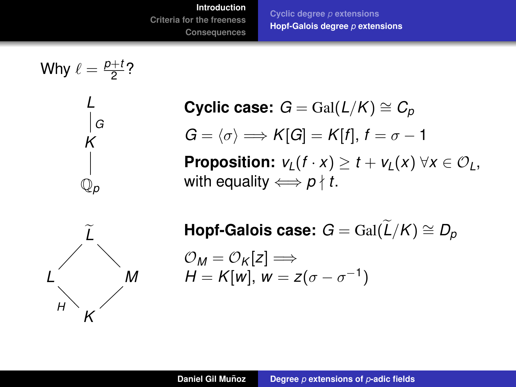**[Cyclic degree](#page-10-0)** *p* **extensions [Hopf-Galois degree](#page-20-0)** *p* **extensions**



**Cyclic case:**  $G = \text{Gal}(L/K) \cong C_p$  $G = \langle \sigma \rangle \Longrightarrow K[G] = K[f], f = \sigma - 1$ **Proposition:**  $v_1(f \cdot x) > t + v_1(x) \ \forall x \in \mathcal{O}_L$ , with equality  $\Longleftrightarrow p \nmid t$ .

 $\textsf{Hopf-Galois case: } G = \operatorname{Gal}(\widetilde{L}/K) \cong D_p$  $\mathcal{O}_M = \mathcal{O}_K[z] \Longrightarrow$ *H* = *K*[*w*], *w* = *z*( $\sigma$  –  $\sigma$ <sup>-1</sup>)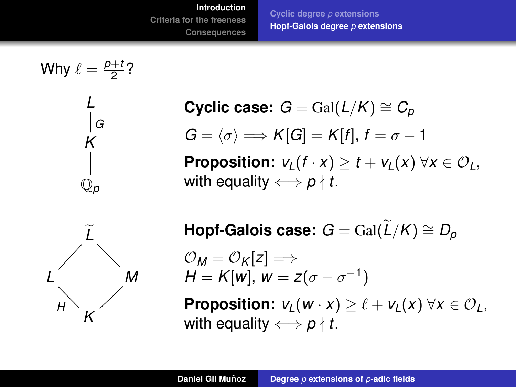**[Cyclic degree](#page-10-0)** *p* **extensions [Hopf-Galois degree](#page-20-0)** *p* **extensions**



**Cyclic case:**  $G = \text{Gal}(L/K) \cong C_p$  $G = \langle \sigma \rangle \Longrightarrow K[G] = K[f], f = \sigma - 1$ **Proposition:**  $v_1(f \cdot x) > t + v_1(x) \ \forall x \in \mathcal{O}_L$ , with equality  $\Longleftrightarrow p \nmid t$ .

 $\textsf{Hopf-Galois case: } G = \operatorname{Gal}(\widetilde{L}/K) \cong D_p$  $\mathcal{O}_M = \mathcal{O}_K[z] \Longrightarrow$ *H* = *K*[*w*], *w* = *z*( $\sigma$  –  $\sigma$ <sup>-1</sup>) **Proposition:**  $v_1(w \cdot x) > \ell + v_1(x) \ \forall x \in \mathcal{O}_l$ , with equality  $\iff p \nmid t$ .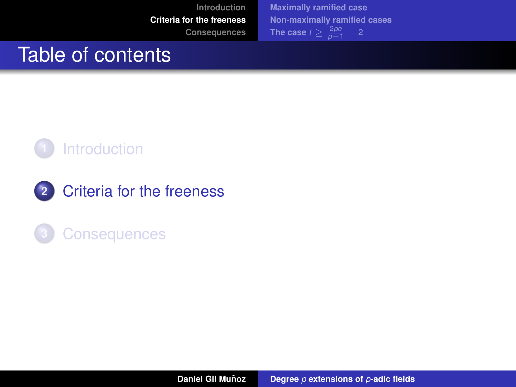**[Maximally ramified case](#page-42-0) [Non-maximally ramified cases](#page-53-0) [The case](#page-71-0)**  $t \geq \frac{2pe}{p-1} - 2$ 

## <span id="page-41-0"></span>Table of contents



- **2** [Criteria for the freeness](#page-41-0)
- **3** [Consequences](#page-116-0)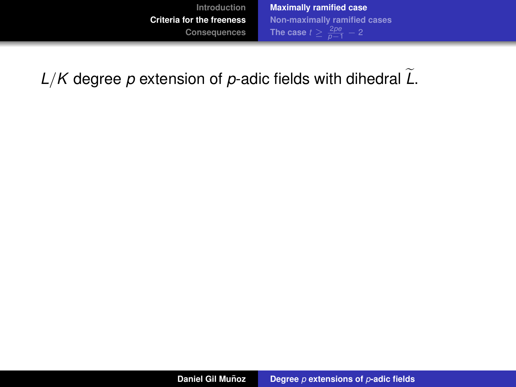<span id="page-42-0"></span> $L/K$  degree p extension of p-adic fields with dihedral  $\widetilde{L}$ .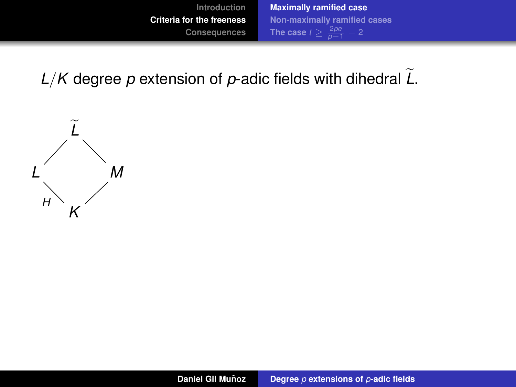$L/K$  degree p extension of p-adic fields with dihedral  $\tilde{L}$ .

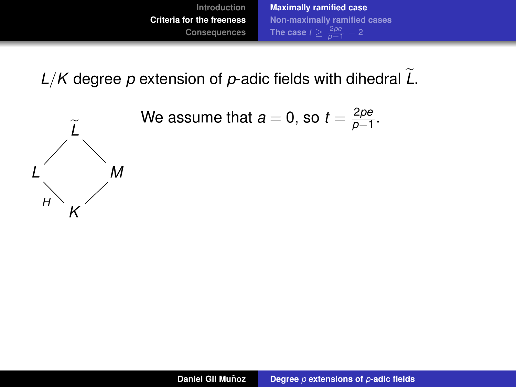

 $L/K$  degree p extension of p-adic fields with dihedral  $\tilde{L}$ .

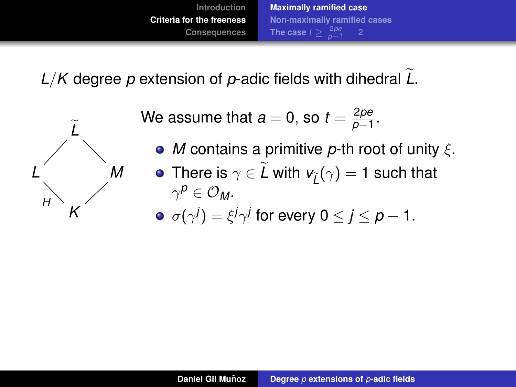

 $L/K$  degree p extension of p-adic fields with dihedral  $\overline{L}$ .



We assume that  $a=0$ , so  $t=\frac{2\rho e}{\rho-1}$  $\frac{2\rho e}{\rho - 1}$ .

*M* contains a primitive *p*-th root of unity ξ. There is  $\gamma \in L$  with  $\mathsf{v}_{\widetilde{L}}(\gamma) = 1$  such that  $\gamma^{\boldsymbol{\rho}}\in \mathcal{O}_{\textit{M}}.$  $\sigma(\gamma^j) = \xi^j \gamma^j$  for every 0  $\leq$  *j*  $\leq$  *p*  $-$  1.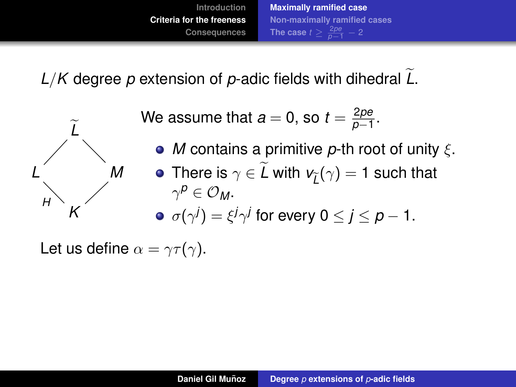

 $L/K$  degree p extension of p-adic fields with dihedral  $L$ .



We assume that  $a=0$ , so  $t=\frac{2\rho e}{\rho-1}$  $\frac{2\rho e}{\rho - 1}$ .

*M* contains a primitive *p*-th root of unity ξ. There is  $\gamma \in L$  with  $\mathsf{v}_{\widetilde{L}}(\gamma) = 1$  such that  $\gamma^{\boldsymbol{\rho}}\in \mathcal{O}_{\textit{M}}.$  $\sigma(\gamma^j) = \xi^j \gamma^j$  for every 0  $\leq$  *j*  $\leq$  *p*  $-$  1.

Let us define  $\alpha = \gamma \tau(\gamma)$ .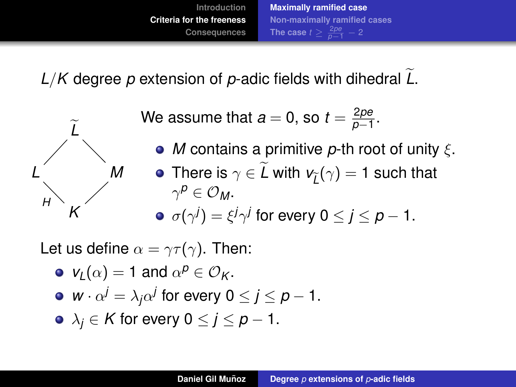<span id="page-47-0"></span> $L/K$  degree p extension of p-adic fields with dihedral  $\overline{L}$ .



We assume that  $a=0$ , so  $t=\frac{2\rho e}{\rho-1}$  $\frac{2\rho e}{\rho - 1}$ .

*M* contains a primitive *p*-th root of unity ξ. There is  $\gamma \in L$  with  $\mathsf{v}_{\widetilde{L}}(\gamma) = 1$  such that  $\gamma^{\boldsymbol{\rho}}\in \mathcal{O}_{\textit{M}}.$  $\sigma(\gamma^j) = \xi^j \gamma^j$  for every 0  $\leq$  *j*  $\leq$  *p*  $-$  1.

Let us define  $\alpha = \gamma \tau(\gamma)$ . Then:

\n- • 
$$
v_L(\alpha) = 1
$$
 and  $\alpha^p \in \mathcal{O}_K$ .
\n- •  $w \cdot \alpha^j = \lambda_j \alpha^j$  for every  $0 \leq j \leq p - 1$ .
\n- •  $\lambda_j \in K$  for every  $0 \leq j \leq p - 1$ .
\n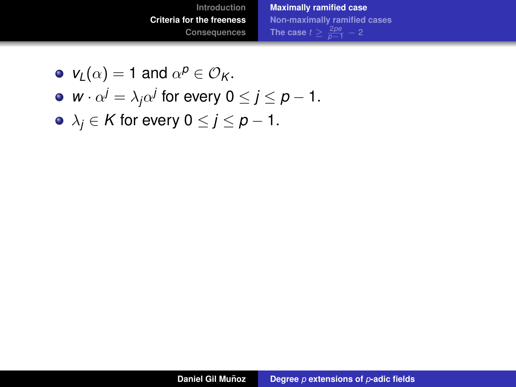- $v_L(\alpha) = 1$  and  $\alpha^p \in \mathcal{O}_K$ .
- *w* ·  $\alpha^j = \lambda_j \alpha^j$  for every  $0 \le j \le p 1$ .
- $\lambda_j \in K$  for every  $0 \le j \le p-1$ .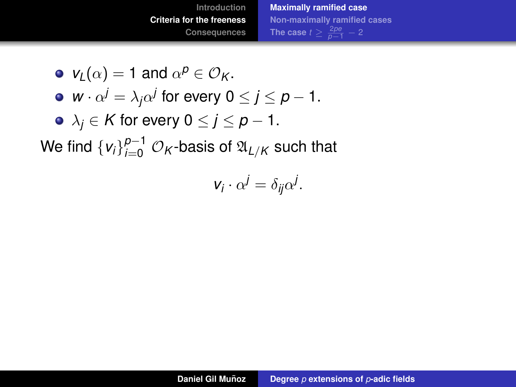• 
$$
v_L(\alpha) = 1
$$
 and  $\alpha^p \in \mathcal{O}_K$ .

- *w* ·  $\alpha^j = \lambda_j \alpha^j$  for every  $0 \le j \le p 1$ .
- $\lambda_j \in K$  for every  $0 \le j \le p-1$ .

We find  $\left\{v_{i}\right\}_{i=0}^{p-1}$   $\mathcal{O}_{\mathcal{K}}$ -basis of  $\mathfrak{A}_{L/K}$  such that

$$
v_i \cdot \alpha^j = \delta_{ij} \alpha^j.
$$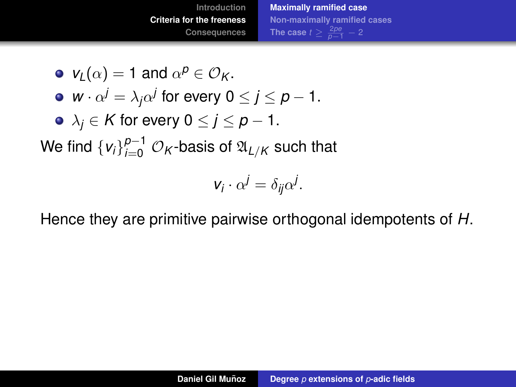• 
$$
v_L(\alpha) = 1
$$
 and  $\alpha^p \in \mathcal{O}_K$ .

- *w* ·  $\alpha^j = \lambda_j \alpha^j$  for every  $0 \le j \le p 1$ .
- $\lambda_i \in K$  for every  $0 \leq j \leq p-1$ .

We find  $\left\{v_{i}\right\}_{i=0}^{p-1}$   $\mathcal{O}_{\mathcal{K}}$ -basis of  $\mathfrak{A}_{L/K}$  such that

$$
v_i \cdot \alpha^j = \delta_{ij} \alpha^j.
$$

Hence they are primitive pairwise orthogonal idempotents of *H*.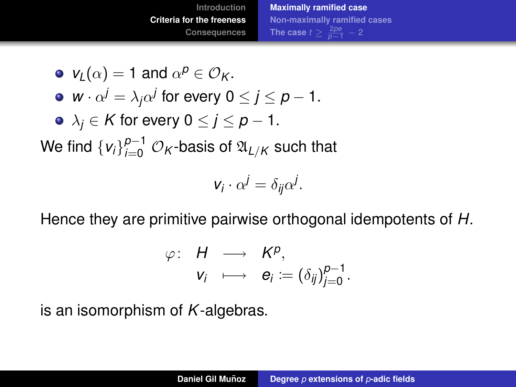• 
$$
v_L(\alpha) = 1
$$
 and  $\alpha^p \in \mathcal{O}_K$ .

• 
$$
w \cdot \alpha^j = \lambda_j \alpha^j
$$
 for every  $0 \le j \le p - 1$ .

$$
\bullet\ \lambda_j\in \mathcal{K}\ \text{for every}\ 0\leq j\leq p-1.
$$

We find  $\left\{v_{i}\right\}_{i=0}^{p-1}$   $\mathcal{O}_{\mathcal{K}}$ -basis of  $\mathfrak{A}_{L/K}$  such that

$$
v_i \cdot \alpha^j = \delta_{ij} \alpha^j.
$$

Hence they are primitive pairwise orthogonal idempotents of *H*.

$$
\varphi: H \longrightarrow K^p,
$$
  

$$
v_i \longrightarrow e_i := (\delta_{ij})_{j=0}^{p-1}.
$$

is an isomorphism of *K*-algebras.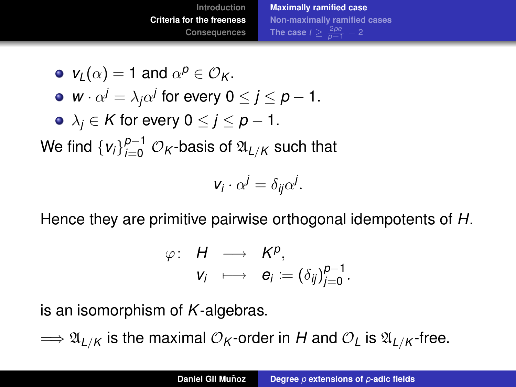• 
$$
v_L(\alpha) = 1
$$
 and  $\alpha^p \in \mathcal{O}_K$ .

• 
$$
w \cdot \alpha^j = \lambda_j \alpha^j
$$
 for every  $0 \le j \le p - 1$ .

• 
$$
\lambda_j \in K
$$
 for every  $0 \le j \le p - 1$ .

We find  $\left\{v_{i}\right\}_{i=0}^{p-1}$   $\mathcal{O}_{\mathcal{K}}$ -basis of  $\mathfrak{A}_{L/K}$  such that

$$
v_i \cdot \alpha^j = \delta_{ij} \alpha^j.
$$

Hence they are primitive pairwise orthogonal idempotents of *H*.

$$
\varphi: H \longrightarrow K^p,
$$
  

$$
v_i \longrightarrow e_i := (\delta_{ij})_{j=0}^{p-1}.
$$

is an isomorphism of *K*-algebras.

 $\Rightarrow \mathfrak{A}_{L/K}$  is the maximal  $\mathcal{O}_K$ -order in *H* and  $\mathcal{O}_L$  is  $\mathfrak{A}_{L/K}$ -free.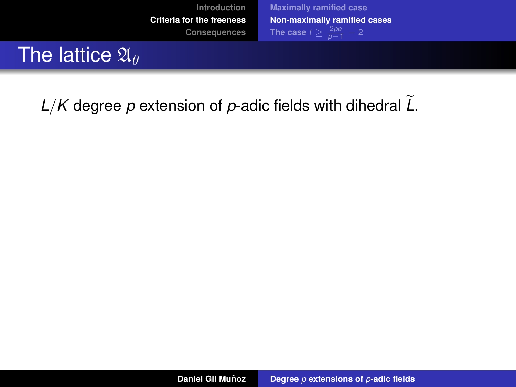<span id="page-53-0"></span>

 $L/K$  degree p extension of p-adic fields with dihedral  $L$ .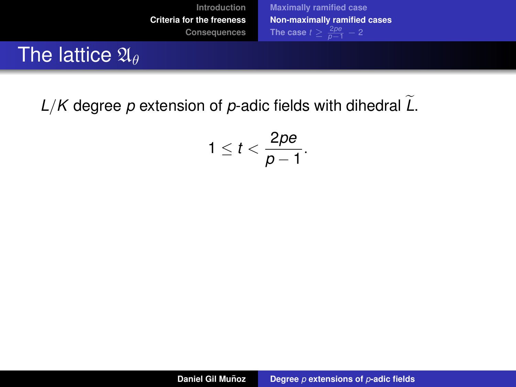

 $L/K$  degree p extension of p-adic fields with dihedral  $L$ .

$$
1\leq t<\frac{2pe}{p-1}.
$$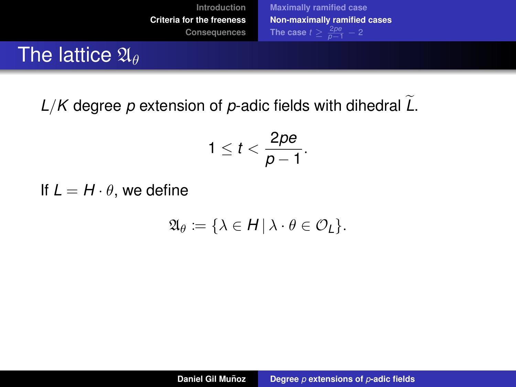

 $L/K$  degree p extension of p-adic fields with dihedral  $\tilde{L}$ .

$$
1\leq t<\frac{2pe}{p-1}.
$$

If  $L = H \cdot \theta$ , we define

$$
\mathfrak{A}_{\theta} := \{ \lambda \in H \, | \, \lambda \cdot \theta \in \mathcal{O}_{L} \}.
$$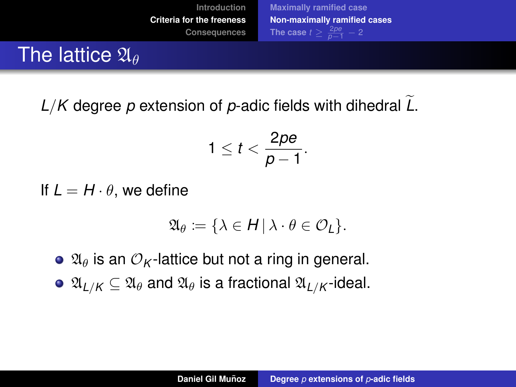

 $L/K$  degree p extension of p-adic fields with dihedral  $L$ .

$$
1\leq t<\frac{2pe}{p-1}.
$$

If  $L = H \cdot \theta$ , we define

$$
\mathfrak{A}_{\theta} := \{ \lambda \in H \, | \, \lambda \cdot \theta \in \mathcal{O}_{L} \}.
$$

- $\bullet$   $\mathfrak{A}_{\theta}$  is an  $\mathcal{O}_{K}$ -lattice but not a ring in general.
- $\bullet$   $\mathfrak{A}_{L/K} \subseteq \mathfrak{A}_{\theta}$  and  $\mathfrak{A}_{\theta}$  is a fractional  $\mathfrak{A}_{L/K}$ -ideal.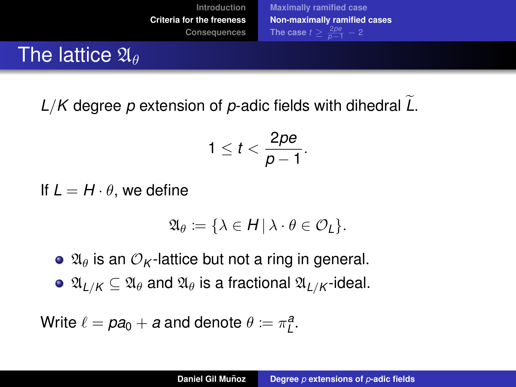

<span id="page-57-0"></span> $L/K$  degree p extension of p-adic fields with dihedral  $L$ .

$$
1\leq t<\frac{2pe}{p-1}.
$$

If  $L = H \cdot \theta$ , we define

$$
\mathfrak{A}_{\theta} := \{ \lambda \in H \, | \, \lambda \cdot \theta \in \mathcal{O}_{L} \}.
$$

 $\bullet$   $\mathfrak{A}_{\theta}$  is an  $\mathcal{O}_{K}$ -lattice but not a ring in general.

 $\bullet$   $\mathfrak{A}_{L/K} \subseteq \mathfrak{A}_{\theta}$  and  $\mathfrak{A}_{\theta}$  is a fractional  $\mathfrak{A}_{L/K}$ -ideal.

Write  $\ell = pa_0 + a$  and denote  $\theta \coloneqq \pi^a_L$ .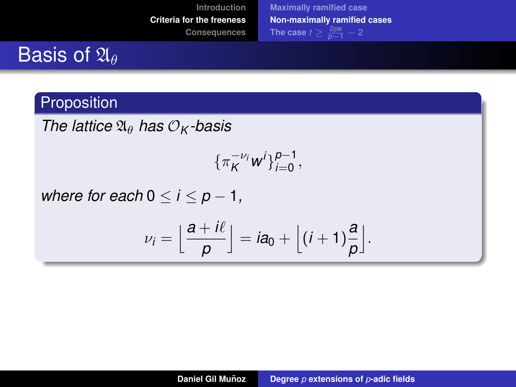## Basis of  $\mathfrak{A}_{\theta}$

#### Proposition

*The lattice*  $\mathfrak{A}_{\theta}$  *has*  $\mathcal{O}_K$ *-basis* 

$$
\{\pi_K^{-\nu_i}w^i\}_{i=0}^{p-1},
$$

*where for each*  $0 \le i \le p - 1$ ,

$$
\nu_i=\Big\lfloor\frac{a+i\ell}{p}\Big\rfloor=ia_0+\Big\lfloor(i+1)\frac{a}{p}\Big\rfloor.
$$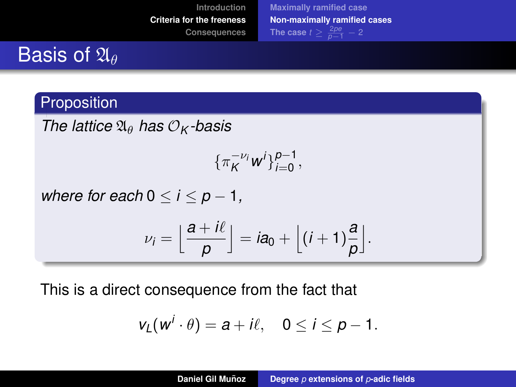## Basis of  $\mathfrak{A}_{\theta}$

#### Proposition

*The lattice*  $\mathfrak{A}_{\theta}$  *has*  $\mathcal{O}_K$  *-basis* 

$$
\{\pi_K^{-\nu_i}w^i\}_{i=0}^{p-1},
$$

*where for each*  $0 \le i \le p - 1$ ,

$$
\nu_i=\Big\lfloor\frac{a+i\ell}{\rho}\Big\rfloor=ia_0+\Big\lfloor(i+1)\frac{a}{\rho}\Big\rfloor.
$$

This is a direct consequence from the fact that

$$
v_L(w^i\cdot\theta)=a+i\ell,\quad 0\leq i\leq p-1.
$$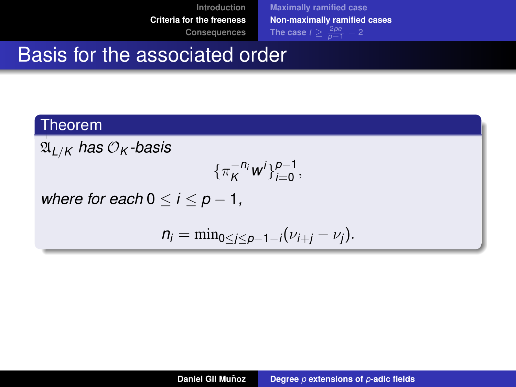**[Introduction](#page-2-0) [Criteria for the freeness](#page-41-0)**

**[Consequences](#page-116-0)**

**[Maximally ramified case](#page-42-0) [Non-maximally ramified cases](#page-53-0) [The case](#page-71-0)**  $t \geq \frac{2pe}{p-1} - 2$ 

## Basis for the associated order

#### Theorem

 $\mathfrak{A}_{L/K}$  has  $\mathcal{O}_K$ -basis

$$
\{\pi_K^{-n_i}w^i\}_{i=0}^{p-1},
$$

*where for each*  $0 \le i \le p-1$ ,

$$
n_i=\min_{0\leq j\leq p-1-i}(\nu_{i+j}-\nu_j).
$$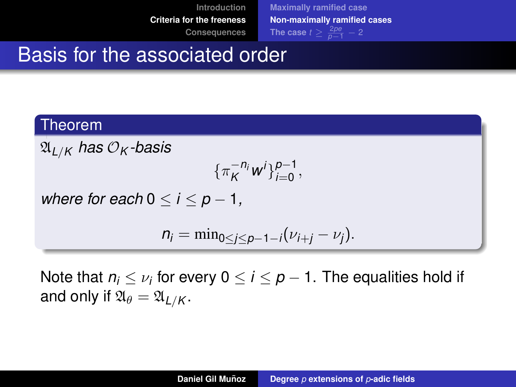**[Introduction](#page-2-0) [Criteria for the freeness](#page-41-0)**

**[Consequences](#page-116-0)**

**[Maximally ramified case](#page-42-0) [Non-maximally ramified cases](#page-53-0) [The case](#page-71-0)**  $t \geq \frac{2pe}{p-1} - 2$ 

## Basis for the associated order

#### Theorem

 $\mathfrak{A}_{L/K}$  has  $\mathcal{O}_K$ -basis

$$
\{\pi_K^{-n_i}w^i\}_{i=0}^{p-1},
$$

*where for each*  $0 \le i \le p-1$ ,

$$
n_i=\min_{0\leq j\leq p-1-i}(\nu_{i+j}-\nu_j).
$$

Note that  $n_i \leq \nu_i$  for every 0  $\leq$  *i*  $\leq$   $\rho$  – 1. The equalities hold if and only if  $\mathfrak{A}_{\theta} = \mathfrak{A}_{I/K}$ .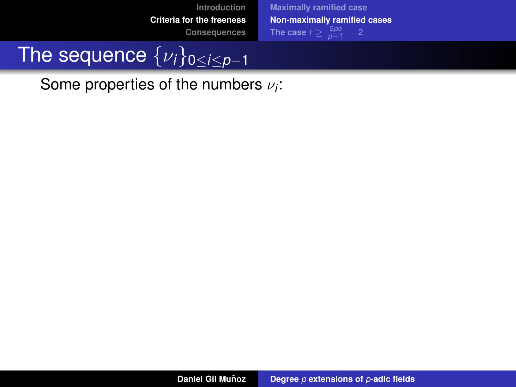**[Maximally ramified case](#page-42-0) [Non-maximally ramified cases](#page-53-0) [The case](#page-71-0)**  $t \geq \frac{2pe}{p-1} - 2$ 

# The sequence {ν*i*}0≤*i*≤*p*−<sup>1</sup>

Some properties of the numbers  $\nu_i$ :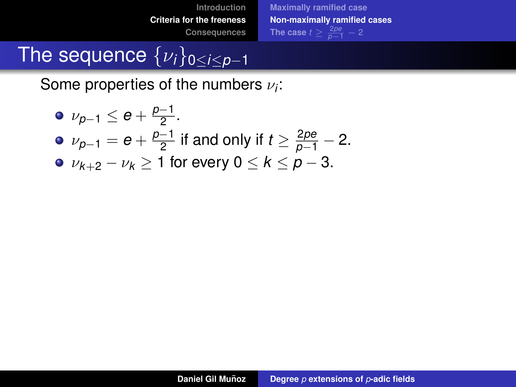**[Maximally ramified case](#page-42-0) [Non-maximally ramified cases](#page-53-0) [The case](#page-71-0)**  $t \geq \frac{2pe}{p-1} - 2$ 

# The sequence {ν*i*}0≤*i*≤*p*−<sup>1</sup>

Some properties of the numbers  $\nu_i$ :

\n- \n
$$
\nu_{p-1} \leq e + \frac{p-1}{2}
$$
\n
\n- \n $\nu_{p-1} = e + \frac{p-1}{2}$  if and only if  $t \geq \frac{2pe}{p-1} - 2$ \n
\n- \n $\nu_{k+2} - \nu_k \geq 1$  for every  $0 \leq k \leq p-3$ .\n
\n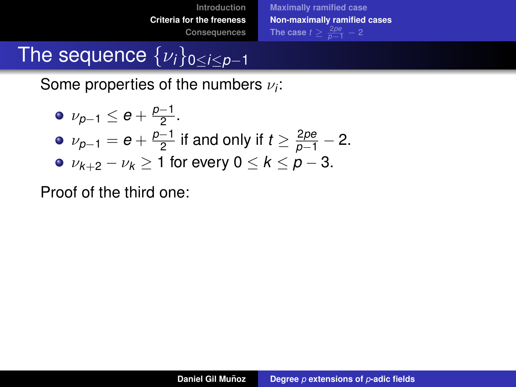**[Maximally ramified case](#page-42-0) [Non-maximally ramified cases](#page-53-0) [The case](#page-71-0)**  $t \geq \frac{2pe}{p-1} - 2$ 

# The sequence {ν*i*}0≤*i*≤*p*−<sup>1</sup>

Some properties of the numbers  $\nu_i$ :

\n- \n
$$
\nu_{p-1} \leq e + \frac{p-1}{2}
$$
\n
\n- \n $\nu_{p-1} = e + \frac{p-1}{2}$  if and only if  $t \geq \frac{2pe}{p-1} - 2$ \n
\n- \n $\nu_{k+2} - \nu_k \geq 1$  for every  $0 \leq k \leq p-3$ .\n
\n

Proof of the third one: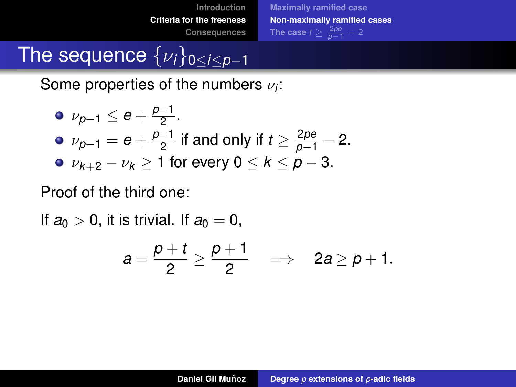**[Maximally ramified case](#page-42-0) [Non-maximally ramified cases](#page-53-0) [The case](#page-71-0)**  $t \geq \frac{2pe}{p-1} - 2$ 

# The sequence {ν*i*}0≤*i*≤*p*−<sup>1</sup>

Some properties of the numbers  $\nu_i$ :

\n- \n
$$
\nu_{p-1} \leq e + \frac{p-1}{2}
$$
\n
\n- \n $\nu_{p-1} = e + \frac{p-1}{2}$  if and only if  $t \geq \frac{2pe}{p-1} - 2$ \n
\n- \n $\nu_{k+2} - \nu_k \geq 1$  for every  $0 \leq k \leq p-3$ .\n
\n

Proof of the third one:

If  $a_0 > 0$ , it is trivial. If  $a_0 = 0$ ,

$$
a=\frac{p+t}{2}\geq\frac{p+1}{2}\quad\Longrightarrow\quad 2a\geq p+1.
$$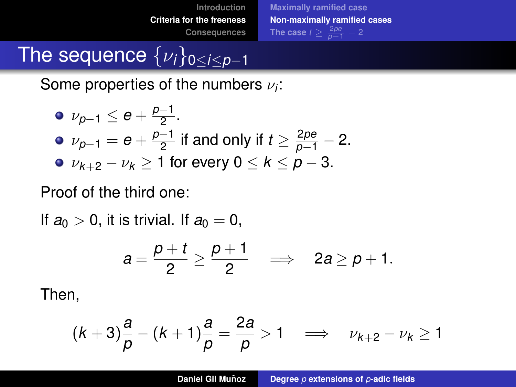**[Maximally ramified case](#page-42-0) [Non-maximally ramified cases](#page-53-0) [The case](#page-71-0)**  $t \geq \frac{2pe}{p-1} - 2$ 

## The sequence {ν*i*}0≤*i*≤*p*−<sup>1</sup>

Some properties of the numbers  $\nu_i$ :

\n- \n
$$
\nu_{p-1} \leq e + \frac{p-1}{2}
$$
\n
\n- \n $\nu_{p-1} = e + \frac{p-1}{2}$  if and only if  $t \geq \frac{2pe}{p-1} - 2$ \n
\n- \n $\nu_{k+2} - \nu_k \geq 1$  for every  $0 \leq k \leq p-3$ .\n
\n

Proof of the third one:

If  $a_0 > 0$ , it is trivial. If  $a_0 = 0$ ,

$$
a=\frac{p+t}{2}\geq\frac{p+1}{2}\quad\Longrightarrow\quad 2a\geq p+1.
$$

Then,

$$
(k+3)\frac{a}{p}-(k+1)\frac{a}{p}=\frac{2a}{p}>1 \quad \Longrightarrow \quad \nu_{k+2}-\nu_k\geq 1
$$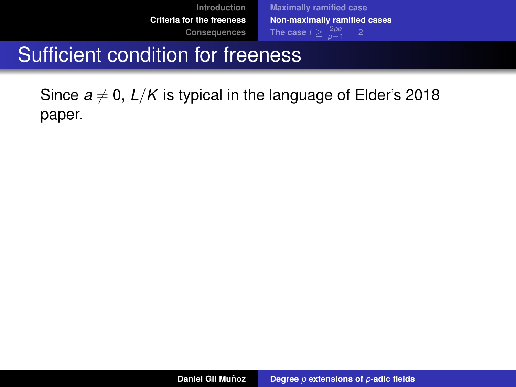**[Maximally ramified case](#page-42-0) [Non-maximally ramified cases](#page-53-0) [The case](#page-71-0)**  $t \geq \frac{2pe}{p-1} - 2$ 

## Sufficient condition for freeness

Since  $a \neq 0$ ,  $L/K$  is typical in the language of Elder's 2018 paper.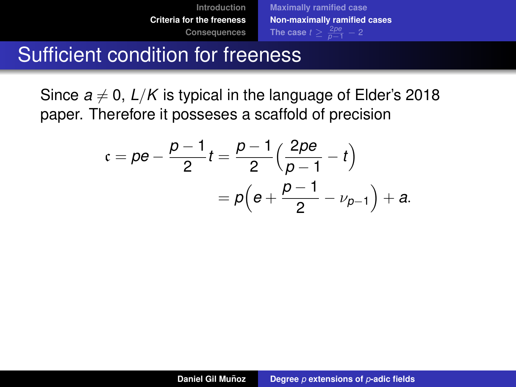### Sufficient condition for freeness

Since  $a \neq 0$ ,  $L/K$  is typical in the language of Elder's 2018 paper. Therefore it posseses a scaffold of precision

$$
c = \rho e - \frac{p-1}{2}t = \frac{p-1}{2}\left(\frac{2p e}{p-1} - t\right)
$$
  
=  $p\left(e + \frac{p-1}{2} - \nu_{p-1}\right) + a$ .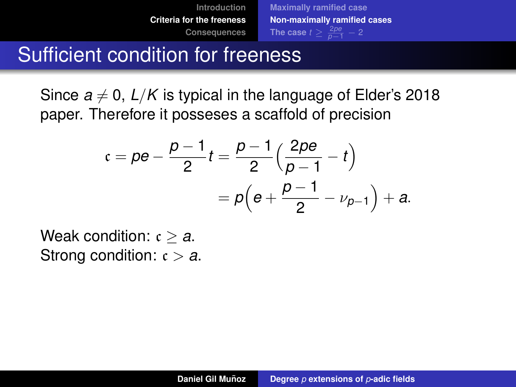### Sufficient condition for freeness

Since  $a \neq 0$ ,  $L/K$  is typical in the language of Elder's 2018 paper. Therefore it posseses a scaffold of precision

$$
c = \rho e - \frac{p-1}{2}t = \frac{p-1}{2}\left(\frac{2p e}{p-1} - t\right)
$$
  
=  $p\left(e + \frac{p-1}{2} - \nu_{p-1}\right) + a$ .

Weak condition:  $c > a$ . Strong condition:  $c > a$ .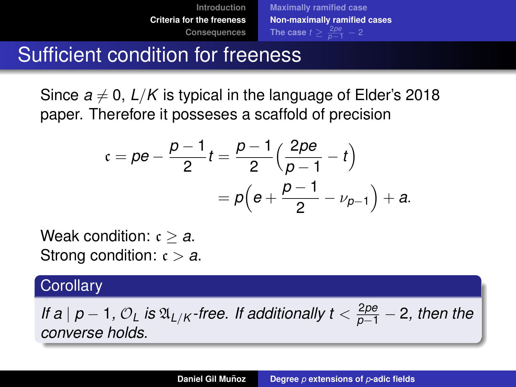### Sufficient condition for freeness

Since  $a \neq 0$ ,  $L/K$  is typical in the language of Elder's 2018 paper. Therefore it posseses a scaffold of precision

$$
c = \rho e - \frac{p-1}{2}t = \frac{p-1}{2}\left(\frac{2p e}{p-1} - t\right)
$$
  
=  $p\left(e + \frac{p-1}{2} - \nu_{p-1}\right) + a$ .

Weak condition: c ≥ *a*. Strong condition:  $c > a$ .

#### **Corollary**

*If a* |  $p - 1$ *, O*<sub>L</sub> *is*  $\mathfrak{A}_{L/K}$  *-free. If additionally t* <  $\frac{2pe}{p-1} - 2$ *, then the converse holds.*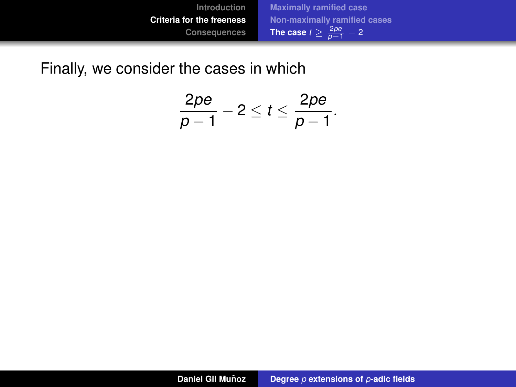<span id="page-71-0"></span>Finally, we consider the cases in which

$$
\frac{2p e}{p-1}-2\leq t\leq \frac{2p e}{p-1}.
$$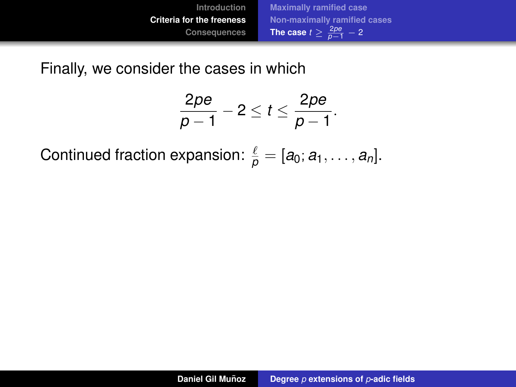Finally, we consider the cases in which

$$
\frac{2pe}{p-1}-2\leq t\leq \frac{2pe}{p-1}.
$$

Continued fraction expansion:  $\frac{\ell}{\rho} = [a_0; a_1, \ldots, a_n].$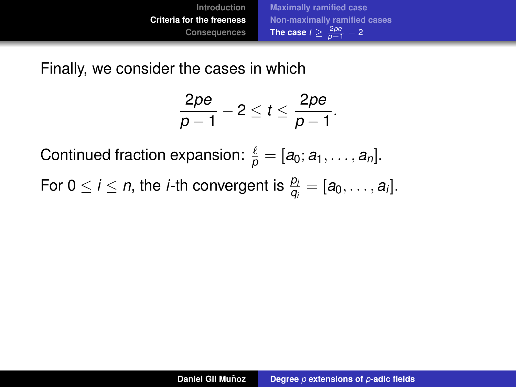Finally, we consider the cases in which

$$
\frac{2pe}{p-1}-2\leq t\leq \frac{2pe}{p-1}.
$$

Continued fraction expansion:  $\frac{\ell}{\rho} = [a_0; a_1, \ldots, a_n].$ 

For 0  $\leq$  *i*  $\leq$  *n*, the *i*-th convergent is  $\frac{p_i}{q_i} = [a_0, \ldots, a_i].$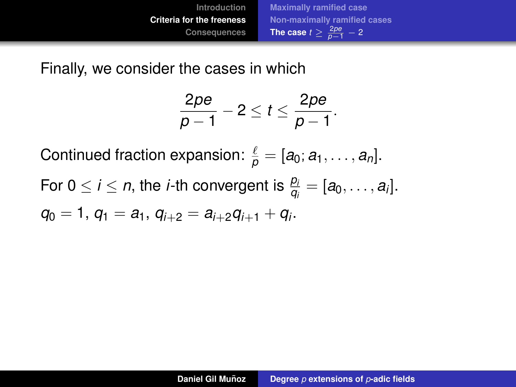Finally, we consider the cases in which

$$
\frac{2pe}{p-1}-2\leq t\leq \frac{2pe}{p-1}.
$$

Continued fraction expansion:  $\frac{\ell}{\rho} = [a_0; a_1, \ldots, a_n].$ 

For 0  $\leq$  *i*  $\leq$  *n*, the *i*-th convergent is  $\frac{p_i}{q_i} = [a_0, \ldots, a_i].$ 

$$
q_0=1, q_1=a_1, q_{i+2}=a_{i+2}q_{i+1}+q_i.
$$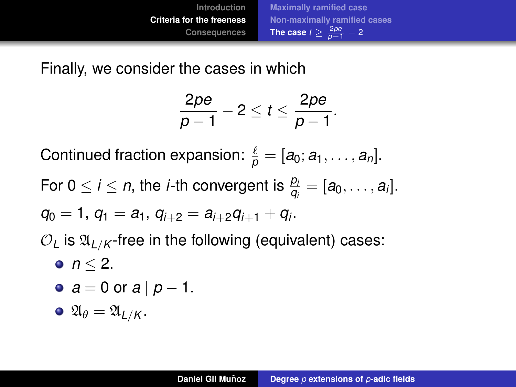Finally, we consider the cases in which

$$
\frac{2pe}{p-1}-2\leq t\leq \frac{2pe}{p-1}.
$$

Continued fraction expansion:  $\frac{\ell}{\rho} = [a_0; a_1, \ldots, a_n].$ 

For 0  $\leq$  *i*  $\leq$  *n*, the *i*-th convergent is  $\frac{p_i}{q_i} = [a_0, \ldots, a_i].$ 

$$
q_0=1, q_1=a_1, q_{i+2}=a_{i+2}q_{i+1}+q_i.
$$

 $\mathcal{O}_L$  is  $\mathfrak{A}_{L/K}$ -free in the following (equivalent) cases:

 $\bullet$  *n* < 2.

• 
$$
a = 0
$$
 or  $a \mid p - 1$ .

$$
\bullet \; \mathfrak{A}_{\theta} = \mathfrak{A}_{L/K}.
$$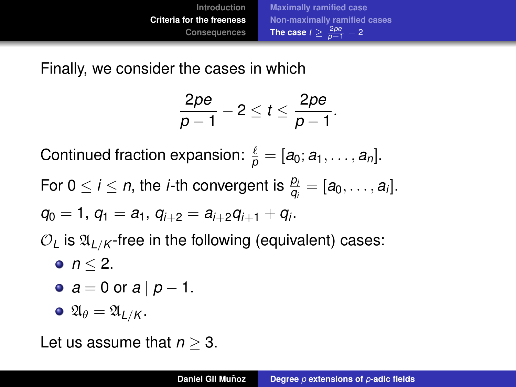<span id="page-76-0"></span>Finally, we consider the cases in which

$$
\frac{2pe}{p-1}-2\leq t\leq \frac{2pe}{p-1}.
$$

Continued fraction expansion:  $\frac{\ell}{\rho} = [a_0; a_1, \ldots, a_n].$ 

For 0  $\leq$  *i*  $\leq$  *n*, the *i*-th convergent is  $\frac{p_i}{q_i} = [a_0, \ldots, a_i].$ 

$$
q_0=1, q_1=a_1, q_{i+2}=a_{i+2}q_{i+1}+q_i.
$$

 $\mathcal{O}_L$  is  $\mathfrak{A}_{L/K}$ -free in the following (equivalent) cases:

•  $n < 2$ .

• 
$$
a = 0
$$
 or  $a \mid p - 1$ .

$$
\bullet \; \mathfrak{A}_{\theta} = \mathfrak{A}_{L/K}.
$$

Let us assume that *n* ≥ 3.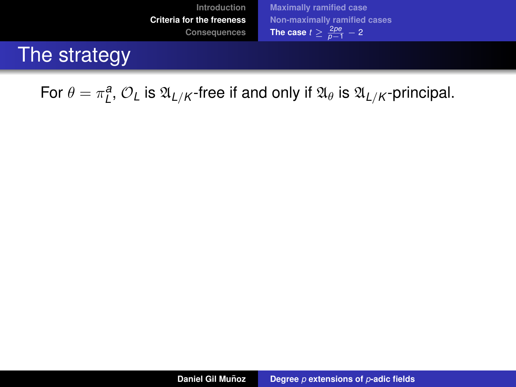### The strategy

For  $\theta = \pi_L^a$ ,  $\mathcal{O}_L$  is  $\mathfrak{A}_{L/K}$ -free if and only if  $\mathfrak{A}_{\theta}$  is  $\mathfrak{A}_{L/K}$ -principal.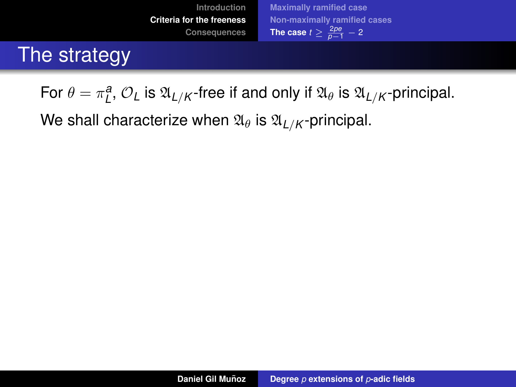## The strategy

For  $\theta = \pi_L^a$ ,  $\mathcal{O}_L$  is  $\mathfrak{A}_{L/K}$ -free if and only if  $\mathfrak{A}_{\theta}$  is  $\mathfrak{A}_{L/K}$ -principal.

We shall characterize when  $\mathfrak{A}_{\theta}$  is  $\mathfrak{A}_{L/K}$ -principal.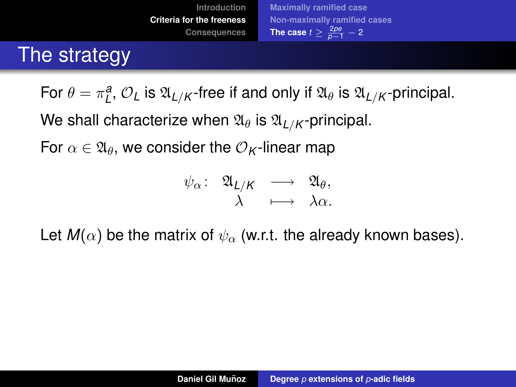## The strategy

For  $\theta = \pi_L^a$ ,  $\mathcal{O}_L$  is  $\mathfrak{A}_{L/K}$ -free if and only if  $\mathfrak{A}_{\theta}$  is  $\mathfrak{A}_{L/K}$ -principal.

We shall characterize when  $\mathfrak{A}_{\theta}$  is  $\mathfrak{A}_{L/K}$ -principal.

For  $\alpha \in \mathfrak{A}_{\theta}$ , we consider the  $\mathcal{O}_{K}$ -linear map

$$
\psi_{\alpha} \colon \begin{array}{ccc} \mathfrak{A}_{L/K} & \longrightarrow & \mathfrak{A}_{\theta}, \\ \lambda & \longmapsto & \lambda \alpha. \end{array}
$$

Let  $M(\alpha)$  be the matrix of  $\psi_{\alpha}$  (w.r.t. the already known bases).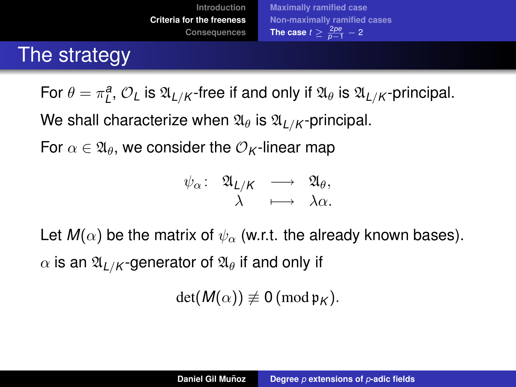### The strategy

For  $\theta = \pi_L^a$ ,  $\mathcal{O}_L$  is  $\mathfrak{A}_{L/K}$ -free if and only if  $\mathfrak{A}_{\theta}$  is  $\mathfrak{A}_{L/K}$ -principal.

We shall characterize when  $\mathfrak{A}_{\theta}$  is  $\mathfrak{A}_{L/K}$ -principal.

For  $\alpha \in \mathfrak{A}_{\theta}$ , we consider the  $\mathcal{O}_{K}$ -linear map

$$
\psi_{\alpha} \colon \begin{array}{ccccc}\n\mathfrak{A}_{L/K} & \longrightarrow & \mathfrak{A}_{\theta}, \\
\lambda & \longmapsto & \lambda \alpha.\n\end{array}
$$

Let  $M(\alpha)$  be the matrix of  $\psi_{\alpha}$  (w.r.t. the already known bases).  $\alpha$  is an  $\mathfrak{A}_{L/K}$ -generator of  $\mathfrak{A}_{\theta}$  if and only if

 $det(M(\alpha)) \not\equiv 0 \pmod{\mathfrak{p}_K}$ .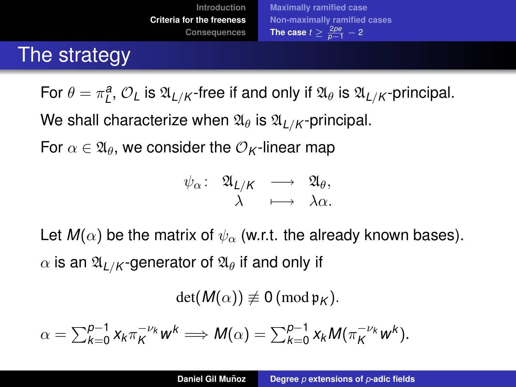## The strategy

For  $\theta = \pi_L^a$ ,  $\mathcal{O}_L$  is  $\mathfrak{A}_{L/K}$ -free if and only if  $\mathfrak{A}_{\theta}$  is  $\mathfrak{A}_{L/K}$ -principal.

We shall characterize when  $\mathfrak{A}_{\theta}$  is  $\mathfrak{A}_{L/K}$ -principal.

For  $\alpha \in \mathfrak{A}_{\theta}$ , we consider the  $\mathcal{O}_{K}$ -linear map

$$
\psi_{\alpha} \colon \begin{array}{ccccc}\n\mathfrak{A}_{L/K} & \longrightarrow & \mathfrak{A}_{\theta}, \\
\lambda & \longmapsto & \lambda \alpha.\n\end{array}
$$

Let  $M(\alpha)$  be the matrix of  $\psi_{\alpha}$  (w.r.t. the already known bases).  $\alpha$  is an  $\mathfrak{A}_{L/K}$ -generator of  $\mathfrak{A}_{\theta}$  if and only if

 $det(M(\alpha)) \not\equiv 0 \pmod{\mathfrak{p}_K}$ .

$$
\alpha = \sum_{k=0}^{p-1} x_k \pi_K^{-\nu_k} w^k \Longrightarrow M(\alpha) = \sum_{k=0}^{p-1} x_k M(\pi_K^{-\nu_k} w^k).
$$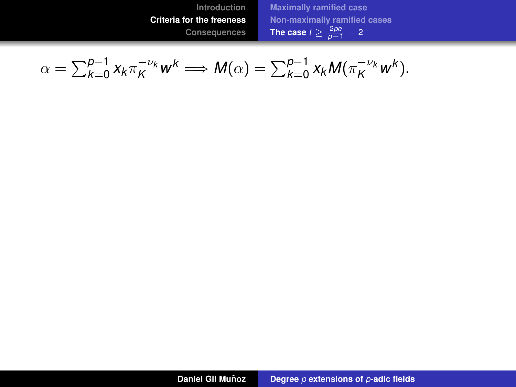**[Introduction](#page-2-0) [Criteria for the freeness](#page-41-0) [Consequences](#page-116-0)** **[Maximally ramified case](#page-42-0) [Non-maximally ramified cases](#page-53-0) [The case](#page-71-0)**  $t \geq \frac{2pe}{p-1} - 2$ 

$$
\alpha = \sum_{k=0}^{p-1} x_k \pi_K^{-\nu_k} w^k \Longrightarrow M(\alpha) = \sum_{k=0}^{p-1} x_k M(\pi_K^{-\nu_k} w^k).
$$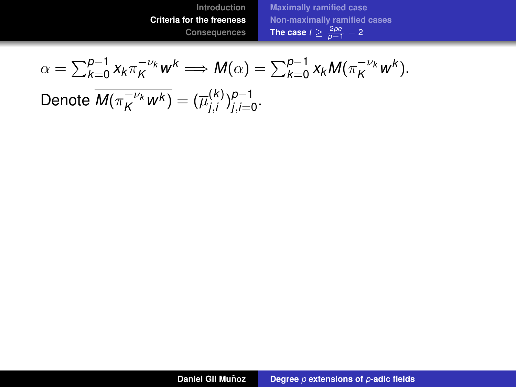$$
\alpha = \sum_{k=0}^{p-1} x_k \pi_K^{-\nu_k} w^k \Longrightarrow M(\alpha) = \sum_{k=0}^{p-1} x_k M(\pi_K^{-\nu_k} w^k).
$$

 $\overline{\mathsf{Denote}\;\overline{\mathsf{M}(\pi_K^{-\nu_\mathsf{k}}w^\mathsf{k})}}=(\overline{\mu}_{j,i}^{(\mathsf{k})})$ *j*,*i* ) *p*−1 *j*,*i*=0 .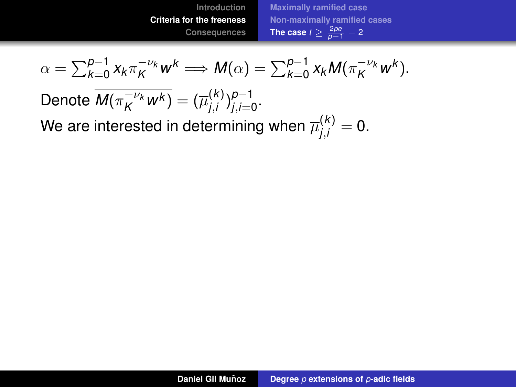$$
\alpha = \sum_{k=0}^{p-1} x_k \pi_K^{-\nu_k} w^k \Longrightarrow M(\alpha) = \sum_{k=0}^{p-1} x_k M(\pi_K^{-\nu_k} w^k).
$$
  
Denote 
$$
\overline{M(\pi_K^{-\nu_k} w^k)} = (\overline{\mu}_{j,i}^{(k)})_{j,i=0}^{p-1}.
$$

We are interested in determining when  $\overline{\mu}_{j,i}^{(k)}=0.$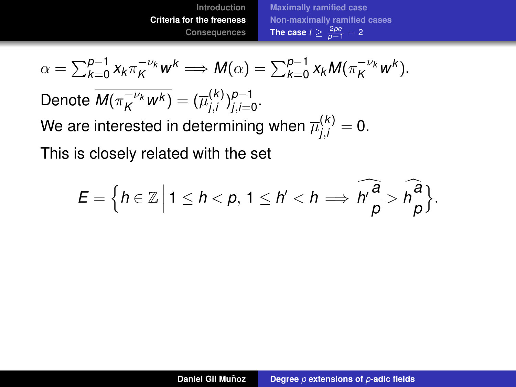$$
\alpha = \sum_{k=0}^{p-1} x_k \pi_K^{-\nu_k} w^k \Longrightarrow M(\alpha) = \sum_{k=0}^{p-1} x_k M(\pi_K^{-\nu_k} w^k).
$$

 $\overline{\mathsf{Denote}\;\overline{\mathsf{M}(\pi_K^{-\nu_\mathsf{k}}w^\mathsf{k})}}=(\overline{\mu}_{j,i}^{(\mathsf{k})})$ *j*,*i* ) *p*−1 *j*,*i*=0 .

We are interested in determining when  $\overline{\mu}_{j,i}^{(k)}=0.$ 

This is closely related with the set

$$
E = \Big\{h \in \mathbb{Z} \Big| \ 1 \leq h < p, \ 1 \leq h' < h \Longrightarrow \widehat{h \frac{a}{p}} > \widehat{h \frac{a}{p}}\Big\}.
$$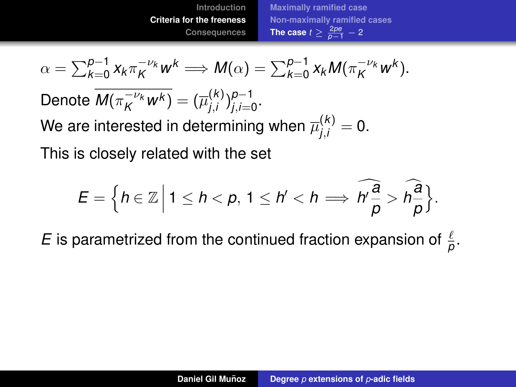$$
\alpha = \sum_{k=0}^{p-1} x_k \pi_K^{-\nu_k} w^k \Longrightarrow M(\alpha) = \sum_{k=0}^{p-1} x_k M(\pi_K^{-\nu_k} w^k).
$$

 $\overline{\mathsf{Denote}\;\overline{\mathsf{M}(\pi_K^{-\nu_\mathsf{k}}w^\mathsf{k})}}=(\overline{\mu}_{j,i}^{(\mathsf{k})})$ *j*,*i* ) *p*−1 *j*,*i*=0 .

We are interested in determining when  $\overline{\mu}_{j,i}^{(k)}=0.$ 

This is closely related with the set

$$
E = \Big\{h \in \mathbb{Z} \Big| \ 1 \leq h < p, \ 1 \leq h' < h \Longrightarrow \widehat{h \frac{a}{p}} > \widehat{h \frac{a}{p}}\Big\}.
$$

*E* is parametrized from the continued fraction expansion of  $\frac{\ell}{\rho}$ .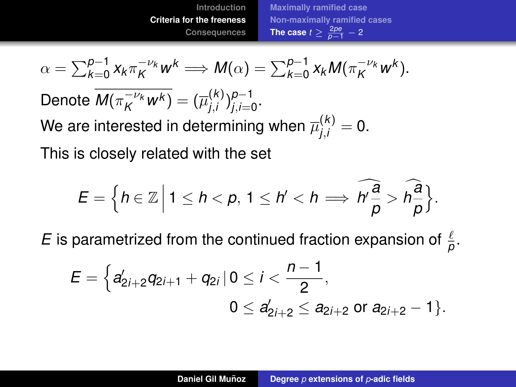$$
\alpha = \sum_{k=0}^{p-1} x_k \pi_K^{-\nu_k} w^k \Longrightarrow M(\alpha) = \sum_{k=0}^{p-1} x_k M(\pi_K^{-\nu_k} w^k).
$$

 $\overline{\mathsf{Denote}\;\overline{\mathsf{M}(\pi_K^{-\nu_\mathsf{k}}w^\mathsf{k})}}=(\overline{\mu}_{j,i}^{(\mathsf{k})})$ *j*,*i* ) *p*−1 *j*,*i*=0 .

We are interested in determining when  $\overline{\mu}_{j,i}^{(k)}=0.$ 

This is closely related with the set

$$
E = \Big\{h \in \mathbb{Z} \Big| \ 1 \leq h < p, \ 1 \leq h' < h \Longrightarrow \widehat{h \frac{a}{p}} > \widehat{h \frac{a}{p}}\Big\}.
$$

*E* is parametrized from the continued fraction expansion of  $\frac{\ell}{\rho}$ .

$$
E = \Big\{ a'_{2i+2}q_{2i+1} + q_{2i} \, | \, 0 \leq i < \frac{n-1}{2}, \\ 0 \leq a'_{2i+2} \leq a_{2i+2} \text{ or } a_{2i+2} - 1 \Big\}.
$$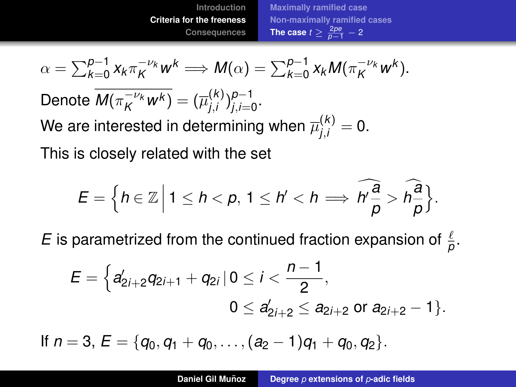$$
\alpha = \sum_{k=0}^{p-1} x_k \pi_K^{-\nu_k} w^k \Longrightarrow M(\alpha) = \sum_{k=0}^{p-1} x_k M(\pi_K^{-\nu_k} w^k).
$$

 $\overline{\mathsf{Denote}\;\overline{\mathsf{M}(\pi_K^{-\nu_\mathsf{k}}w^\mathsf{k})}}=(\overline{\mu}_{j,i}^{(\mathsf{k})})$ *j*,*i* ) *p*−1 *j*,*i*=0 .

We are interested in determining when  $\overline{\mu}_{j,i}^{(k)}=0.$ 

This is closely related with the set

$$
E = \Big\{h \in \mathbb{Z} \Big| \ 1 \leq h < p, \ 1 \leq h' < h \Longrightarrow \widehat{h \frac{a}{p}} > \widehat{h \frac{a}{p}}\Big\}.
$$

*E* is parametrized from the continued fraction expansion of  $\frac{\ell}{\rho}$ .

$$
E = \Big\{ a'_{2i+2}q_{2i+1} + q_{2i} \, | \, 0 \leq i < \frac{n-1}{2}, \\ 0 \leq a'_{2i+2} \leq a_{2i+2} \text{ or } a_{2i+2} - 1 \Big\}.
$$

If  $n = 3$ ,  $E = \{q_0, q_1 + q_0, \ldots, (q_2 - 1)q_1 + q_0, q_2\}.$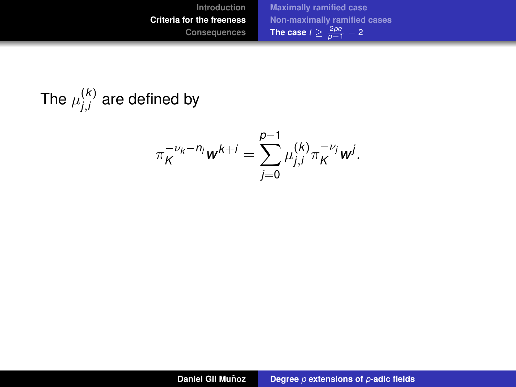The 
$$
\mu_{j,i}^{(k)}
$$
 are defined by

$$
\pi_K^{-\nu_k - n_j} w^{k+j} = \sum_{j=0}^{p-1} \mu_{j,i}^{(k)} \pi_K^{-\nu_j} w^j.
$$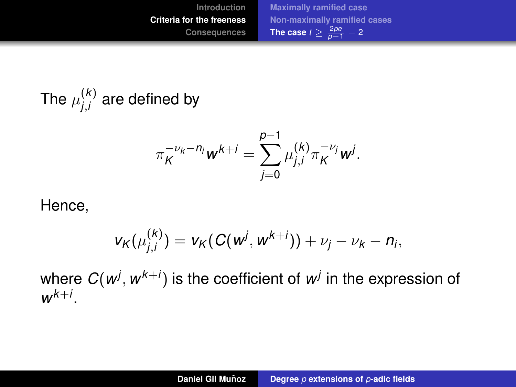The  $\mu^{(k)}_{i,i}$ *j*,*i* are defined by

$$
\pi_K^{-\nu_k - n_j} w^{k+i} = \sum_{j=0}^{p-1} \mu_{j,i}^{(k)} \pi_K^{-\nu_j} w^j.
$$

#### Hence,

$$
v_K(\mu_{j,i}^{(k)}) = v_K(C(w^j, w^{k+j})) + \nu_j - \nu_k - n_i,
$$

where  $C(w^j,w^{k+j})$  is the coefficient of  $w^j$  in the expression of  $w^{k+i}$ .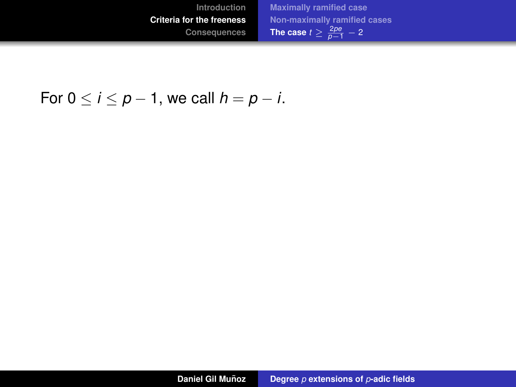### For  $0 \le i \le p - 1$ , we call  $h = p - i$ .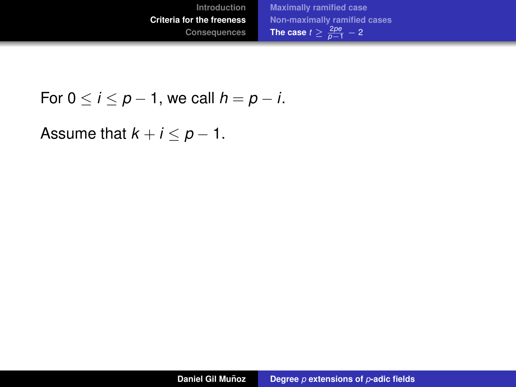

For 
$$
0 \le i \le p-1
$$
, we call  $h = p - i$ .

Assume that  $k + i \leq p - 1$ .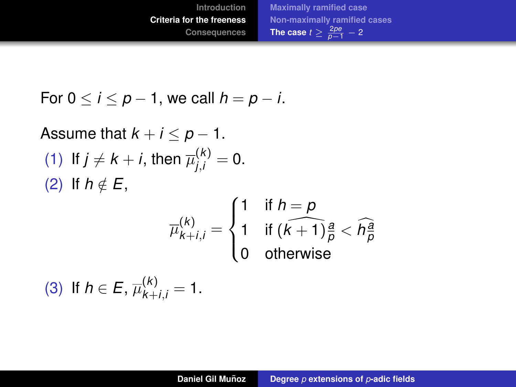For 
$$
0 \le i \le p-1
$$
, we call  $h = p - i$ .

Assume that 
$$
k + i \le p - 1
$$
.  
\n(1) If  $j \neq k + i$ , then  $\overline{\mu}_{j,i}^{(k)} = 0$ .  
\n(2) If  $h \notin E$ ,  
\n
$$
\overline{\mu}_{k+i,j}^{(k)} = \begin{cases}\n1 & \text{if } h = p \\
1 & \text{if } (k+1)\frac{a}{p} < \widehat{h}_{p}^{\widehat{a}} \\
0 & \text{otherwise}\n\end{cases}
$$
\n(3) If  $h \in E$ ,  $\overline{\mu}_{k+i,j}^{(k)} = 1$ .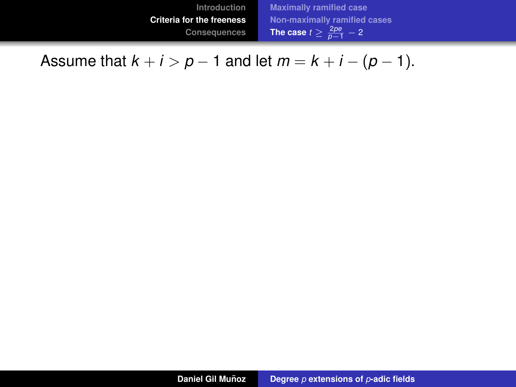Assume that  $k + i > p - 1$  and let  $m = k + i - (p - 1)$ .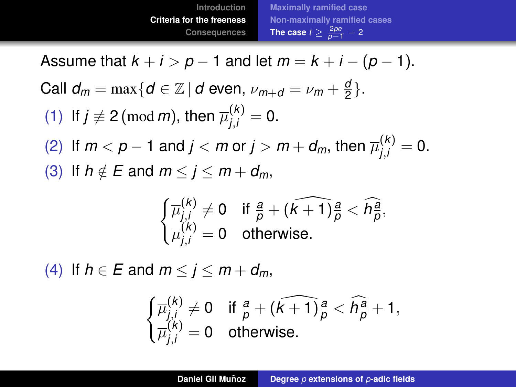Assume that  $k + i > p - 1$  and let  $m = k + i - (p - 1)$ . Call  $d_m = \max\{d \in \mathbb{Z} \, | \, d \text{ even, } \nu_{m+d} = \nu_m + \frac{a}{2}\}$  $\frac{a}{2}$ . (1) If  $j \not\equiv 2 \pmod{m}$ , then  $\overline{\mu}_{j,i}^{(k)} = 0$ . (2) If  $m < p - 1$  and  $j < m$  or  $j > m + d_m$ , then  $\overline{\mu}_{j,i}^{(k)} = 0$ . (3) If  $h \notin E$  and  $m < j < m + d_m$ ,

$$
\begin{cases} \overline{\mu}_{j,i}^{(k)} \neq 0 & \text{if } \frac{a}{p} + (\widehat{k+1})\frac{a}{p} < \widehat{h}_{\overline{p}}^{\overline{a}},\\ \overline{\mu}_{j,i}^{(k)} = 0 & \text{otherwise.} \end{cases}
$$

(4) If  $h \in E$  and  $m < j < m+d_m$ ,

$$
\begin{cases} \overline{\mu}_{j,i}^{(k)} \neq 0 & \text{if } \frac{a}{p} + (\widehat{k+1})\frac{a}{p} < \widehat{h}_{p}^{\frac{a}{p}} + 1, \\ \overline{\mu}_{j,i}^{(k)} = 0 & \text{otherwise.} \end{cases}
$$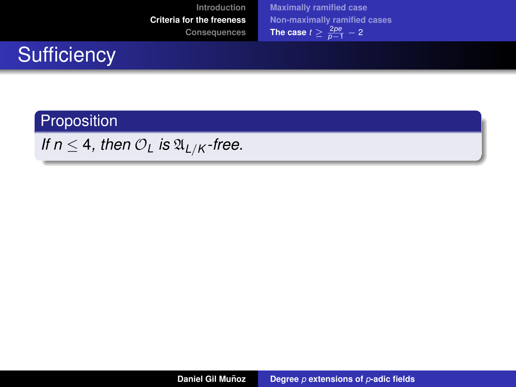# **Sufficiency**

#### Proposition

*If*  $n \leq 4$ *, then*  $\mathcal{O}_L$  *is*  $\mathfrak{A}_{L/K}$ *-free.*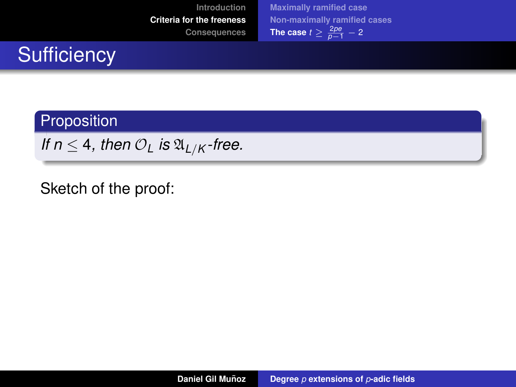| Introduction                     | <b>Maximally ramified case</b>        |
|----------------------------------|---------------------------------------|
| <b>Criteria for the freeness</b> | Non-maximally ramified cases          |
| Consequences                     | The case $t \geq \frac{2pe}{p-1} - 2$ |

# **Sufficiency**

#### Proposition

*If*  $n \leq 4$ *, then*  $\mathcal{O}_L$  *is*  $\mathfrak{A}_{L/K}$ *-free.* 

Sketch of the proof: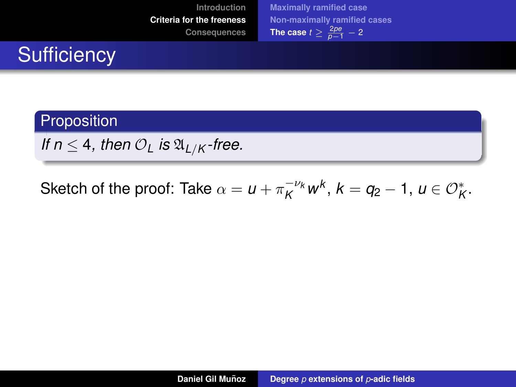| Introduction                     | <b>Maximally ramified case</b>        |
|----------------------------------|---------------------------------------|
| <b>Criteria for the freeness</b> | Non-maximally ramified cases          |
| Consequences                     | The case $t \geq \frac{2pe}{p-1} - 2$ |

# **Sufficiency**

### Proposition

*If*  $n \leq 4$ *, then*  $\mathcal{O}_L$  *is*  $\mathfrak{A}_{L/K}$ *-free.* 

Sketch of the proof: Take  $\alpha = u + \pi_K^{-\nu_k} w^k$ ,  $k = q_2 - 1$ ,  $u \in \mathcal{O}_K^*$ .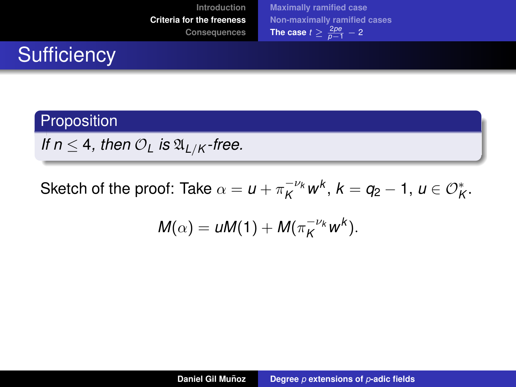| Introduction                     | <b>Maximally ramified case</b>        |
|----------------------------------|---------------------------------------|
| <b>Criteria for the freeness</b> | Non-maximally ramified cases          |
| Consequences                     | The case $t \geq \frac{2pe}{p-1} - 2$ |

# **Sufficiency**

### Proposition

*If*  $n \leq 4$ *, then*  $\mathcal{O}_L$  *is*  $\mathfrak{A}_{L/K}$ *-free.* 

Sketch of the proof: Take  $\alpha = u + \pi_K^{-\nu_k} w^k$ ,  $k = q_2 - 1$ ,  $u \in \mathcal{O}_K^*$ .

$$
M(\alpha)=uM(1)+M(\pi_K^{-\nu_k}w^k).
$$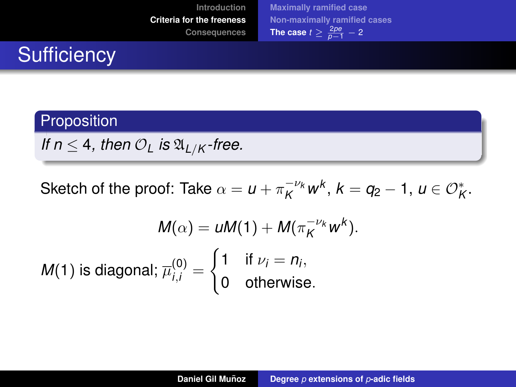# **Sufficiency**

#### **Proposition**

*If*  $n \leq 4$ *, then*  $\mathcal{O}_L$  *is*  $\mathfrak{A}_{L/K}$ *-free.* 

Sketch of the proof: Take  $\alpha = u + \pi_K^{-\nu_k} w^k$ ,  $k = q_2 - 1$ ,  $u \in \mathcal{O}_K^*$ .

$$
M(\alpha) = \mu M(1) + M(\pi_K^{-\nu_k} w^k).
$$
  
M(1) is diagonal;  $\overline{\mu}_{i,i}^{(0)} = \begin{cases} 1 & \text{if } \nu_i = n_i, \\ 0 & \text{otherwise.} \end{cases}$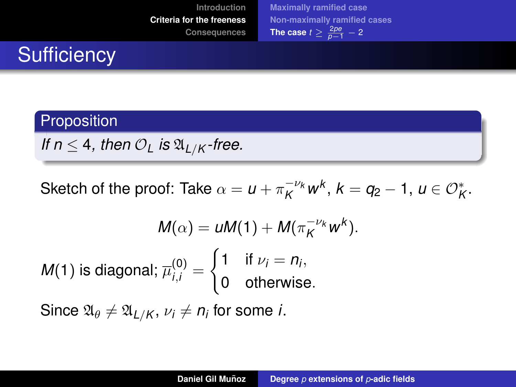# **Sufficiency**

#### **Proposition**

*If*  $n \leq 4$ *, then*  $\mathcal{O}_L$  *is*  $\mathfrak{A}_{L/K}$ *-free.* 

Sketch of the proof: Take  $\alpha = u + \pi_K^{-\nu_k} w^k$ ,  $k = q_2 - 1$ ,  $u \in \mathcal{O}_K^*$ .

$$
M(\alpha) = uM(1) + M(\pi_K^{-\nu_k} w^k).
$$
  
M(1) is diagonal;  $\overline{\mu}_{i,i}^{(0)} = \begin{cases} 1 & \text{if } \nu_i = n_i, \\ 0 & \text{otherwise.} \end{cases}$ 

 $\mathsf{Since}~ \mathfrak{A}_\theta \neq \mathfrak{A}_{L/K},\, \nu_i \neq n_i$  for some *i*.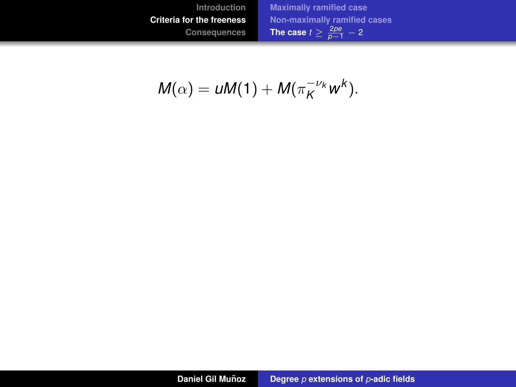$$
M(\alpha)=uM(1)+M(\pi_K^{-\nu_k}w^k).
$$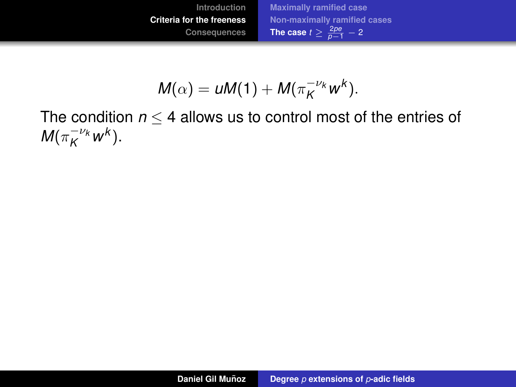

$$
M(\alpha)=uM(1)+M(\pi_K^{-\nu_k}w^k).
$$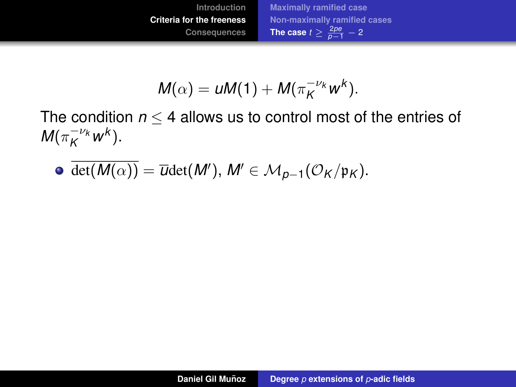

$$
M(\alpha)=uM(1)+M(\pi_K^{-\nu_k}w^k).
$$

 $\overline{\det(M(\alpha))} = \overline{\omega} \det(M'), M' \in \mathcal{M}_{p-1}(\mathcal{O}_K/\mathfrak{p}_K).$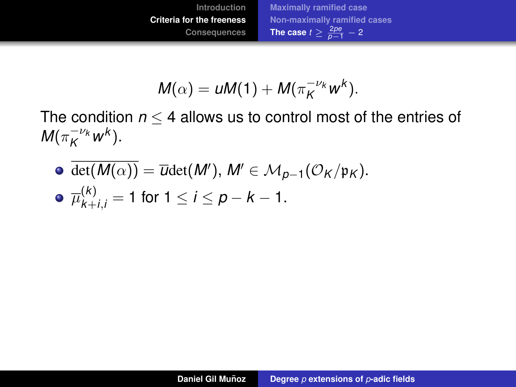

$$
M(\alpha)=uM(1)+M(\pi_K^{-\nu_k}w^k).
$$

 $\overline{\det(M(\alpha))} = \overline{\omega} \det(M'), M' \in \mathcal{M}_{p-1}(\mathcal{O}_K/\mathfrak{p}_K).$ 

• 
$$
\overline{\mu}_{k+i,j}^{(k)} = 1
$$
 for  $1 \le i \le p - k - 1$ .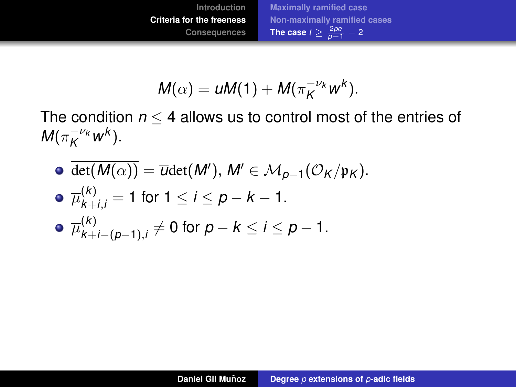

$$
M(\alpha)=uM(1)+M(\pi_K^{-\nu_k}w^k).
$$

 $\overline{\det(M(\alpha))} = \overline{\omega} \det(M'), M' \in \mathcal{M}_{p-1}(\mathcal{O}_K/\mathfrak{p}_K).$ 

• 
$$
\overline{\mu}_{k+i,j}^{(k)} = 1
$$
 for  $1 \le i \le p - k - 1$ .

• 
$$
\overline{\mu}_{k+i-(p-1),i}^{(k)} \neq 0
$$
 for  $p - k \leq i \leq p - 1$ .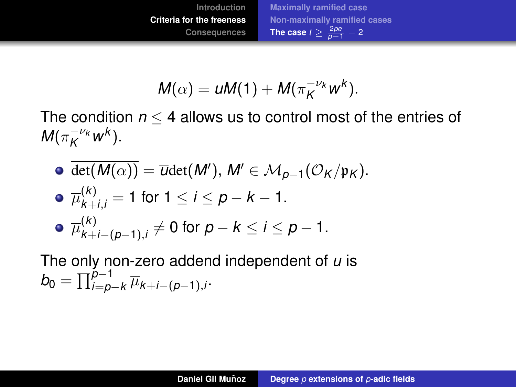$$
M(\alpha)=uM(1)+M(\pi_K^{-\nu_k}w^k).
$$

The condition  $n \leq 4$  allows us to control most of the entries of  $M(\pi_K^{-\nu_k}w^k).$ 

\n- \n
$$
\overline{\det(M(\alpha))} = \overline{\text{U}} \det(M'), \, M' \in \mathcal{M}_{p-1}(\mathcal{O}_K/\mathfrak{p}_K).
$$
\n
\n- \n
$$
\overline{\mu}_{k+j,j}^{(k)} = 1 \text{ for } 1 \leq i \leq p - k - 1.
$$
\n
\n- \n
$$
\overline{\mu}_{k+j-(p-1),i}^{(k)} \neq 0 \text{ for } p - k \leq i \leq p - 1.
$$
\n
\n

The only non-zero addend independent of *u* is  $b_0 = \prod_{i=p-k}^{p-1} \overline{\mu}_{k+i-(p-1),i}.$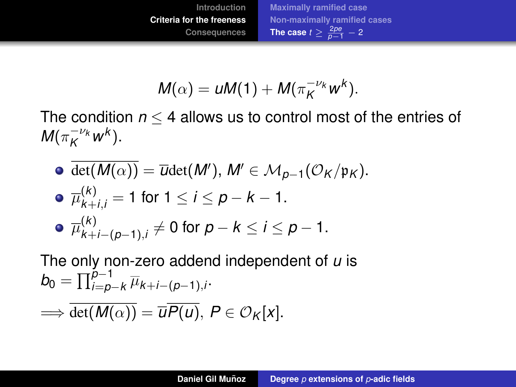$$
M(\alpha)=uM(1)+M(\pi_K^{-\nu_k}w^k).
$$

The condition  $n \leq 4$  allows us to control most of the entries of  $M(\pi_K^{-\nu_k}w^k).$ 

\n- \n
$$
\overline{\det(M(\alpha))} = \overline{\omega} \det(M'), \, M' \in \mathcal{M}_{p-1}(\mathcal{O}_K/\mathfrak{p}_K).
$$
\n
\n- \n
$$
\overline{\mu}_{k+j,j}^{(k)} = 1 \text{ for } 1 \leq i \leq p - k - 1.
$$
\n
\n- \n
$$
\overline{\mu}_{k+j-(p-1),i}^{(k)} \neq 0 \text{ for } p - k \leq i \leq p - 1.
$$
\n
\n

The only non-zero addend independent of *u* is  $b_0 = \prod_{i=p-k}^{p-1} \overline{\mu}_{k+i-(p-1),i}.$ 

$$
\Longrightarrow \overline{\det(M(\alpha))} = \overline{u} \overline{P(u)}, \ P \in \mathcal{O}_K[x].
$$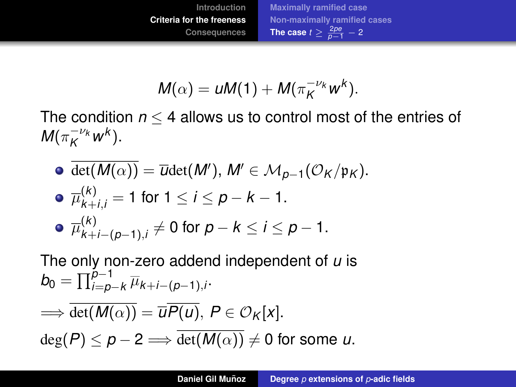$$
M(\alpha)=uM(1)+M(\pi_K^{-\nu_k}w^k).
$$

The condition  $n \leq 4$  allows us to control most of the entries of  $M(\pi_K^{-\nu_k}w^k).$ 

\n- \n
$$
\overline{\det(M(\alpha))} = \overline{\omega} \det(M'), \, M' \in \mathcal{M}_{p-1}(\mathcal{O}_K/\mathfrak{p}_K).
$$
\n
\n- \n
$$
\overline{\mu}_{k+j,j}^{(k)} = 1 \text{ for } 1 \leq i \leq p - k - 1.
$$
\n
\n- \n
$$
\overline{\mu}_{k+j-(p-1),i}^{(k)} \neq 0 \text{ for } p - k \leq i \leq p - 1.
$$
\n
\n

The only non-zero addend independent of *u* is  $b_0 = \prod_{i=p-k}^{p-1} \overline{\mu}_{k+i-(p-1),i}.$ 

$$
\implies \overline{\det(M(\alpha))} = \overline{u}\overline{P(u)}, \ P \in \mathcal{O}_K[x].
$$
  

$$
\deg(P) \le p - 2 \implies \overline{\det(M(\alpha))} \neq 0 \text{ for some } u.
$$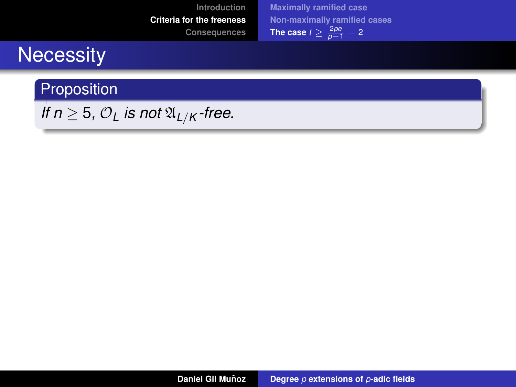## **Necessity**

Proposition

*If*  $n \geq 5$ ,  $\mathcal{O}_L$  *is not*  $\mathfrak{A}_{L/K}$ *-free.*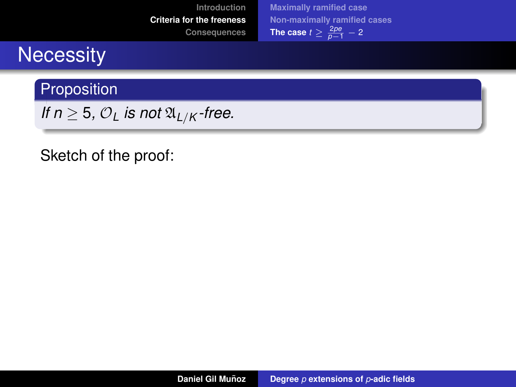## **Necessity**

Proposition

*If*  $n \geq 5$ ,  $\mathcal{O}_L$  *is not*  $\mathfrak{A}_{L/K}$ *-free.* 

#### Sketch of the proof: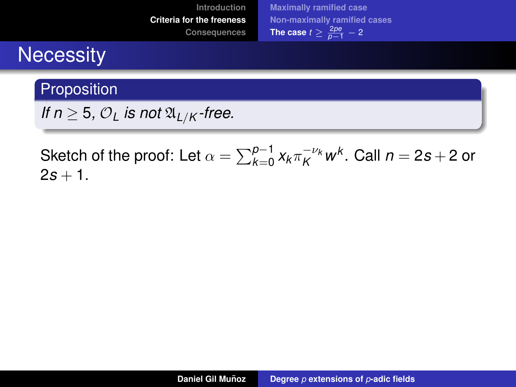## **Necessity**

#### Proposition

*If*  $n \geq 5$ ,  $\mathcal{O}_L$  *is not*  $\mathfrak{A}_{L/K}$ *-free.* 

Sketch of the proof: Let  $\alpha = \sum_{k=0}^{p-1} x_k \pi_K^{-\nu_k} \pmb{w}^k.$  Call  $n = 2s + 2$  or  $2s + 1$ .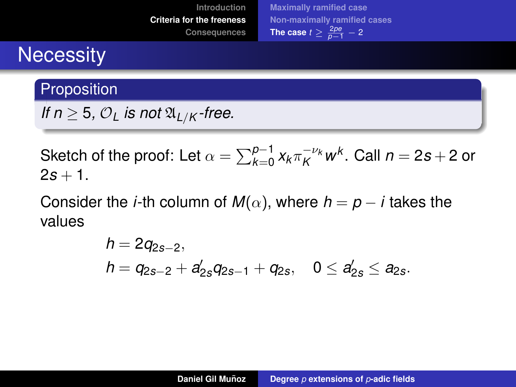## **Necessity**

#### Proposition

*If*  $n \geq 5$ ,  $\mathcal{O}_L$  *is not*  $\mathfrak{A}_{L/K}$  *-free.* 

Sketch of the proof: Let  $\alpha = \sum_{k=0}^{p-1} x_k \pi_K^{-\nu_k} \pmb{w}^k.$  Call  $n = 2s + 2$  or  $2s + 1$ .

Consider the *i*-th column of  $M(\alpha)$ , where  $h = p - i$  takes the values

$$
h = 2q_{2s-2},
$$
  
\n
$$
h = q_{2s-2} + a'_{2s}q_{2s-1} + q_{2s}, \quad 0 \leq a'_{2s} \leq a_{2s}.
$$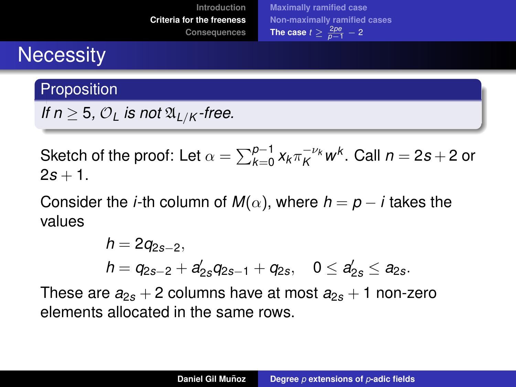## **Necessity**

#### **Proposition**

*If*  $n \geq 5$ ,  $\mathcal{O}_L$  *is not*  $\mathfrak{A}_{L/K}$  *-free.* 

Sketch of the proof: Let  $\alpha = \sum_{k=0}^{p-1} x_k \pi_K^{-\nu_k} \pmb{w}^k.$  Call  $n = 2s + 2$  or  $2s + 1$ .

Consider the *i*-th column of  $M(\alpha)$ , where  $h = p - i$  takes the values

$$
h = 2q_{2s-2},
$$
  
\n
$$
h = q_{2s-2} + a'_{2s}q_{2s-1} + q_{2s}, \quad 0 \leq a'_{2s} \leq a_{2s}.
$$

These are  $a_{2s} + 2$  columns have at most  $a_{2s} + 1$  non-zero elements allocated in the same rows.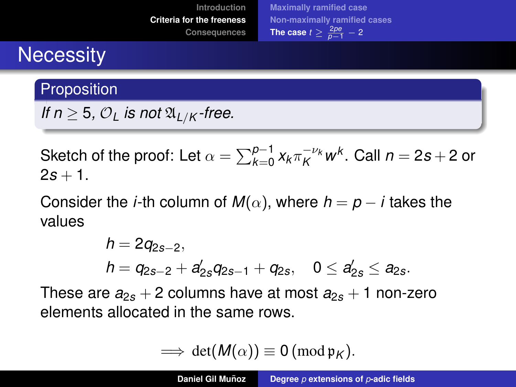## **Necessity**

#### **Proposition**

*If*  $n \geq 5$ ,  $\mathcal{O}_L$  *is not*  $\mathfrak{A}_{L/K}$  *-free.* 

Sketch of the proof: Let  $\alpha = \sum_{k=0}^{p-1} x_k \pi_K^{-\nu_k} \pmb{w}^k.$  Call  $n = 2s + 2$  or  $2s + 1$ .

Consider the *i*-th column of  $M(\alpha)$ , where  $h = p - i$  takes the values

$$
h = 2q_{2s-2},
$$
  
\n
$$
h = q_{2s-2} + a'_{2s}q_{2s-1} + q_{2s}, \quad 0 \leq a'_{2s} \leq a_{2s}.
$$

These are  $a_{2s} + 2$  columns have at most  $a_{2s} + 1$  non-zero elements allocated in the same rows.

$$
\implies \det(M(\alpha)) \equiv 0 \, (\text{mod } \mathfrak{p}_K).
$$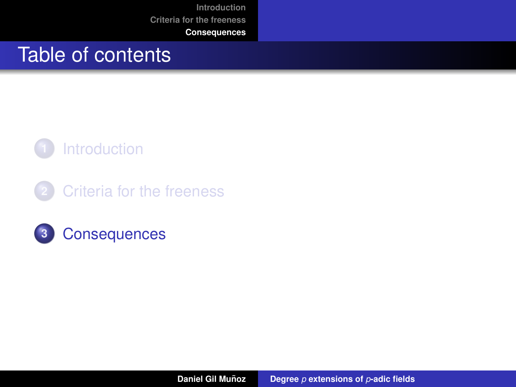**[Introduction](#page-2-0) [Criteria for the freeness](#page-41-0)**

#### **[Consequences](#page-116-0)**

## <span id="page-116-0"></span>Table of contents



**2** [Criteria for the freeness](#page-41-0)

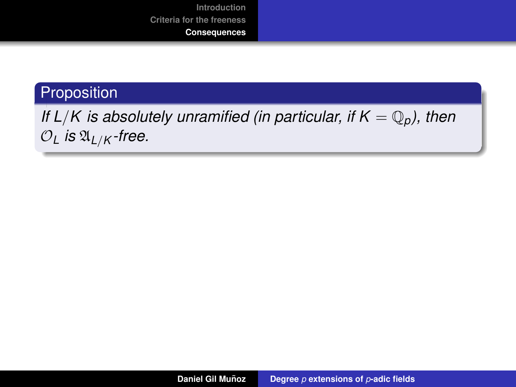#### Proposition

### *If L/K is absolutely unramified (in particular, if*  $K = \mathbb{Q}_p$ *), then*  $O_L$  *is*  $\mathfrak{A}_{L/K}$ *-free.*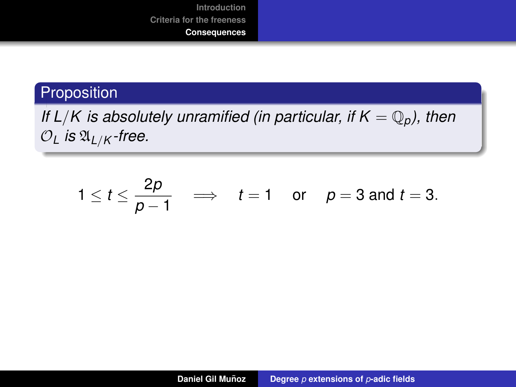#### Proposition

*If L/K is absolutely unramified (in particular, if*  $K = \mathbb{Q}_p$ *), then*  $O_L$  *is*  $\mathfrak{A}_{L/K}$ *-free.* 

$$
1 \leq t \leq \frac{2p}{p-1} \quad \Longrightarrow \quad t = 1 \quad \text{or} \quad p = 3 \text{ and } t = 3.
$$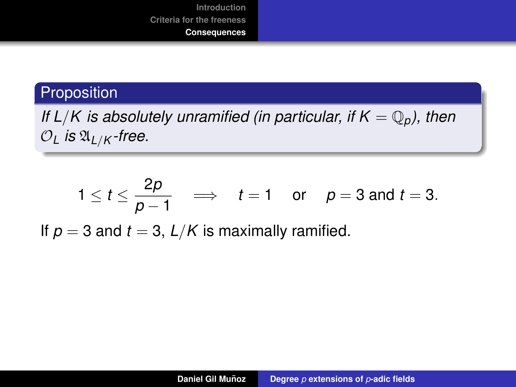#### Proposition

*If L/K is absolutely unramified (in particular, if*  $K = \mathbb{Q}_p$ *), then*  $O_L$  *is*  $\mathfrak{A}_{L/K}$ *-free.* 

$$
1 \le t \le \frac{2p}{p-1} \implies t = 1
$$
 or  $p = 3$  and  $t = 3$ .

If  $p = 3$  and  $t = 3$ ,  $L/K$  is maximally ramified.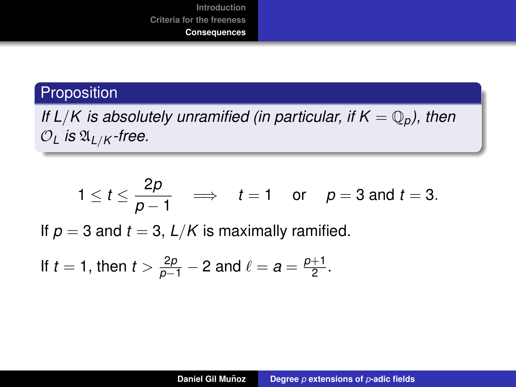#### Proposition

*If L/K is absolutely unramified (in particular, if*  $K = \mathbb{Q}_p$ *), then*  $O_L$  *is*  $\mathfrak{A}_{L/K}$ *-free.* 

$$
1 \le t \le \frac{2p}{p-1} \implies t = 1
$$
 or  $p = 3$  and  $t = 3$ .

If  $p = 3$  and  $t = 3$ ,  $L/K$  is maximally ramified.

If 
$$
t = 1
$$
, then  $t > \frac{2p}{p-1} - 2$  and  $\ell = a = \frac{p+1}{2}$ .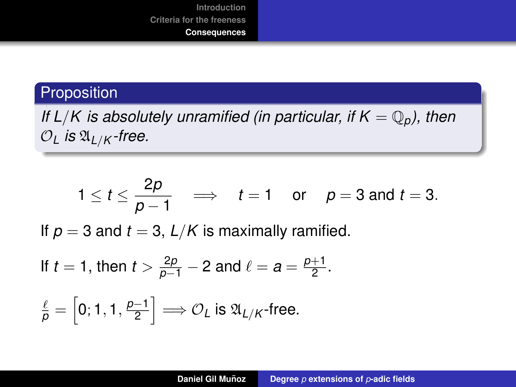#### Proposition

*If L/K is absolutely unramified (in particular, if*  $K = \mathbb{Q}_p$ *), then*  $O_L$  *is*  $\mathfrak{A}_{L/K}$ *-free.* 

$$
1 \le t \le \frac{2p}{p-1} \implies t = 1
$$
 or  $p = 3$  and  $t = 3$ .

If  $p = 3$  and  $t = 3$ ,  $L/K$  is maximally ramified.

If 
$$
t = 1
$$
, then  $t > \frac{2p}{p-1} - 2$  and  $\ell = a = \frac{p+1}{2}$ .

$$
\frac{\ell}{p} = \left[0; 1, 1, \frac{p-1}{2}\right] \Longrightarrow \mathcal{O}_L \text{ is } \mathfrak{A}_{L/K} \text{-free.}
$$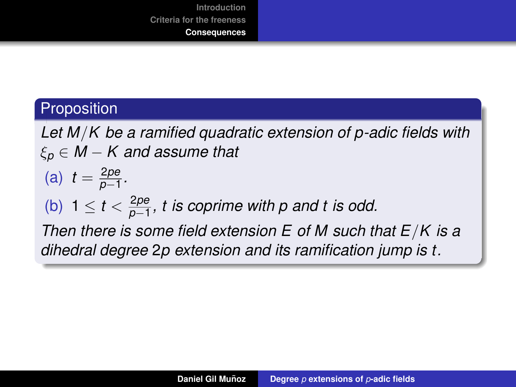#### **Proposition**

*Let M*/*K be a ramified quadratic extension of p-adic fields with* ξ*<sup>p</sup>* ∈ *M* − *K and assume that* (a)  $t = \frac{2pe}{p-1}$ *p*−1 *.* (b)  $1 \le t < \frac{2pe}{p-1}$ *p*−1 *, t is coprime with p and t is odd. Then there is some field extension E of M such that E*/*K is a dihedral degree* 2*p extension and its ramification jump is t.*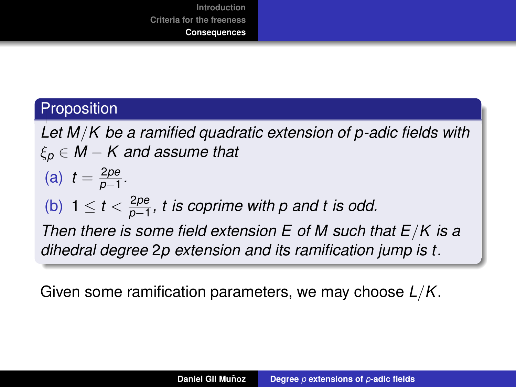#### **Proposition**

*Let M*/*K be a ramified quadratic extension of p-adic fields with* ξ*<sup>p</sup>* ∈ *M* − *K and assume that* (a)  $t = \frac{2pe}{p-1}$ *p*−1 *.* (b)  $1 \le t < \frac{2pe}{p-1}$ *p*−1 *, t is coprime with p and t is odd. Then there is some field extension E of M such that E*/*K is a dihedral degree* 2*p extension and its ramification jump is t.*

Given some ramification parameters, we may choose *L*/*K*.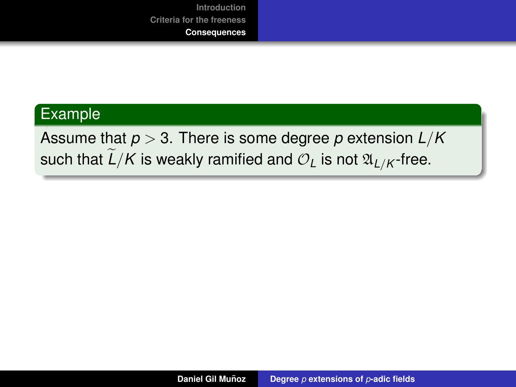#### Example

Assume that *p* > 3. There is some degree *p* extension *L*/*K* such that  $\widetilde{L}/K$  is weakly ramified and  $\mathcal{O}_L$  is not  $\mathfrak{A}_{L/K}$ -free.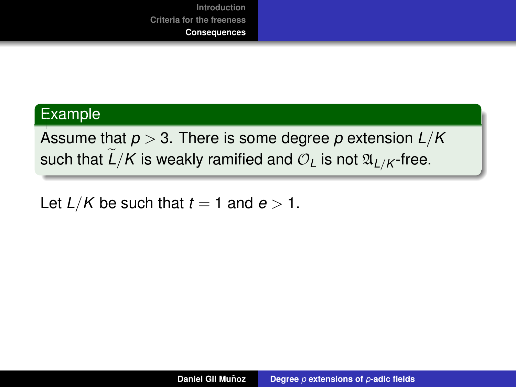#### Example

Assume that *p* > 3. There is some degree *p* extension *L*/*K* such that  $\widetilde{L}/K$  is weakly ramified and  $\mathcal{O}_L$  is not  $\mathfrak{A}_{L/K}$ -free.

Let  $L/K$  be such that  $t = 1$  and  $e > 1$ .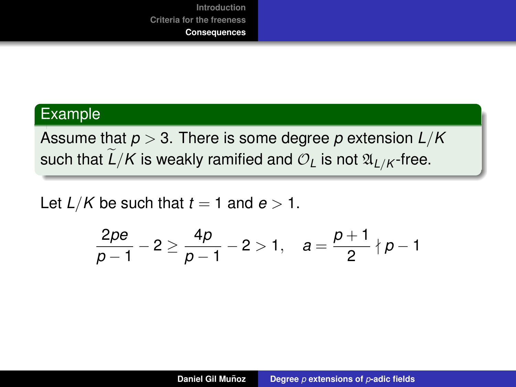#### Example

Assume that *p* > 3. There is some degree *p* extension *L*/*K* such that  $\widetilde{L}/K$  is weakly ramified and  $\mathcal{O}_L$  is not  $\mathfrak{A}_{L/K}$ -free.

Let  $L/K$  be such that  $t = 1$  and  $e > 1$ .

$$
\frac{2pe}{p-1}-2\geq \frac{4p}{p-1}-2>1,\quad a=\frac{p+1}{2}\nmid p-1
$$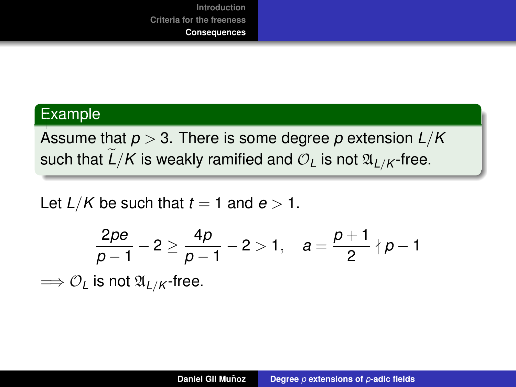#### Example

Assume that *p* > 3. There is some degree *p* extension *L*/*K* such that  $\frac{L}{K}$  is weakly ramified and  $\mathcal{O}_L$  is not  $\mathfrak{A}_{L/K}$ -free.

Let  $L/K$  be such that  $t = 1$  and  $e > 1$ .

$$
\frac{2pe}{p-1}-2\geq \frac{4p}{p-1}-2>1,\quad a=\frac{p+1}{2}\nmid p-1
$$

 $\Longrightarrow$   $\mathcal{O}_L$  is not  $\mathfrak{A}_{L/K}$ -free.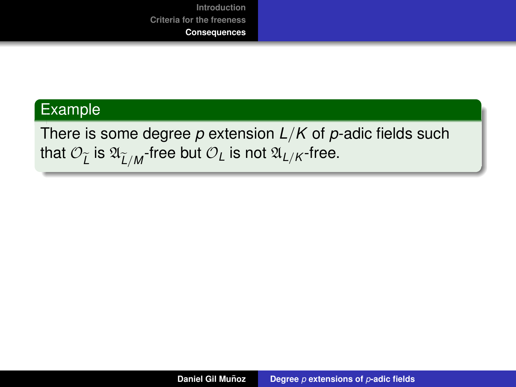#### Example

## There is some degree *p* extension *L*/*K* of *p*-adic fields such that  $\mathcal{O}_{\widetilde{L}}$  is  $\mathfrak{A}_{\widetilde{L}/\mathcal{M}}$ -free but  $\mathcal{O}_L$  is not  $\mathfrak{A}_{L/\mathcal{K}}$ -free.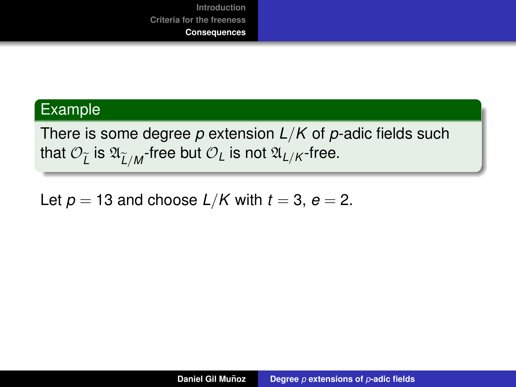#### Example

There is some degree *p* extension *L*/*K* of *p*-adic fields such that  $\mathcal{O}_{\widetilde{L}}$  is  $\mathfrak{A}_{\widetilde{L}/\mathcal{M}}$ -free but  $\mathcal{O}_L$  is not  $\mathfrak{A}_{L/\mathcal{K}}$ -free.

Let  $p = 13$  and choose  $L/K$  with  $t = 3$ ,  $e = 2$ .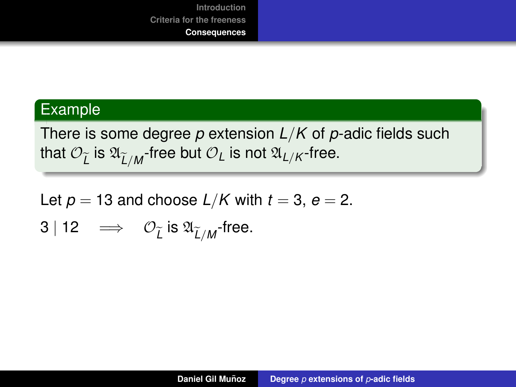#### Example

There is some degree *p* extension *L*/*K* of *p*-adic fields such that  $\mathcal{O}_{\widetilde{L}}$  is  $\mathfrak{A}_{\widetilde{L}/\mathcal{M}}$ -free but  $\mathcal{O}_L$  is not  $\mathfrak{A}_{L/\mathcal{K}}$ -free.

Let  $p = 13$  and choose  $L/K$  with  $t = 3$ ,  $e = 2$ .

$$
3 | 12 \implies \mathcal{O}_{\widetilde{L}} \text{ is } \mathfrak{A}_{\widetilde{L}/M} \text{-free.}
$$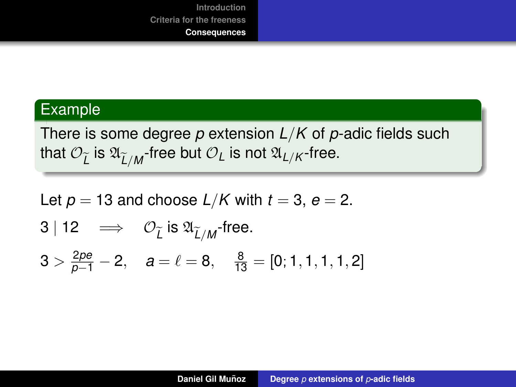#### Example

There is some degree *p* extension *L*/*K* of *p*-adic fields such that  $\mathcal{O}_{\widetilde{L}}$  is  $\mathfrak{A}_{\widetilde{L}/\mathcal{M}}$ -free but  $\mathcal{O}_L$  is not  $\mathfrak{A}_{L/\mathcal{K}}$ -free.

Let 
$$
p = 13
$$
 and choose  $L/K$  with  $t = 3$ ,  $e = 2$ .  
\n $3 | 12 \implies O_{\tilde{L}} \text{ is } \mathfrak{A}_{\tilde{L}/M} \text{-free.}$   
\n $3 > \frac{2pe}{p-1} - 2$ ,  $a = \ell = 8$ ,  $\frac{8}{13} = [0; 1, 1, 1, 1, 2]$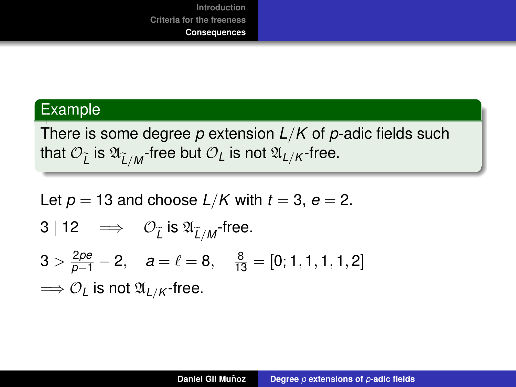#### Example

There is some degree *p* extension *L*/*K* of *p*-adic fields such that  $\mathcal{O}_{\widetilde{L}}$  is  $\mathfrak{A}_{\widetilde{L}/\mathcal{M}}$ -free but  $\mathcal{O}_L$  is not  $\mathfrak{A}_{L/\mathcal{K}}$ -free.

Let 
$$
p = 13
$$
 and choose  $L/K$  with  $t = 3$ ,  $e = 2$ .  
\n $3 | 12 \implies \mathcal{O}_{\tilde{L}} \text{ is } \mathfrak{A}_{\tilde{L}/M} \text{-free.}$   
\n $3 > \frac{2pe}{p-1} - 2$ ,  $a = \ell = 8$ ,  $\frac{8}{13} = [0; 1, 1, 1, 1, 2]$   
\n $\implies \mathcal{O}_L \text{ is not } \mathfrak{A}_{L/K} \text{-free.}$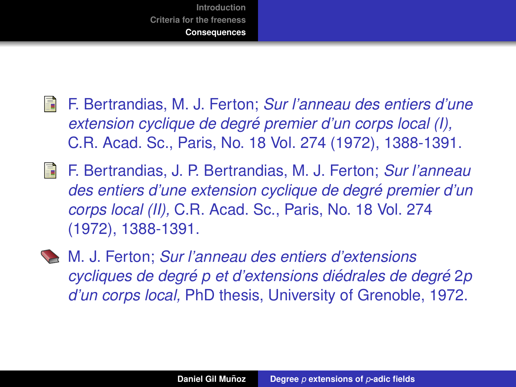

- 譶 F. Bertrandias, M. J. Ferton; *Sur l'anneau des entiers d'une extension cyclique de degre premier d'un corps local (I), ´* C.R. Acad. Sc., Paris, No. 18 Vol. 274 (1972), 1388-1391.
- 歸 F. Bertrandias, J. P. Bertrandias, M. J. Ferton; *Sur l'anneau des entiers d'une extension cyclique de degre premier d'un ´ corps local (II),* C.R. Acad. Sc., Paris, No. 18 Vol. 274 (1972), 1388-1391.
- M. J. Ferton; *Sur l'anneau des entiers d'extensions cycliques de degré p et d'extensions diédrales de degré 2p d'un corps local,* PhD thesis, University of Grenoble, 1972.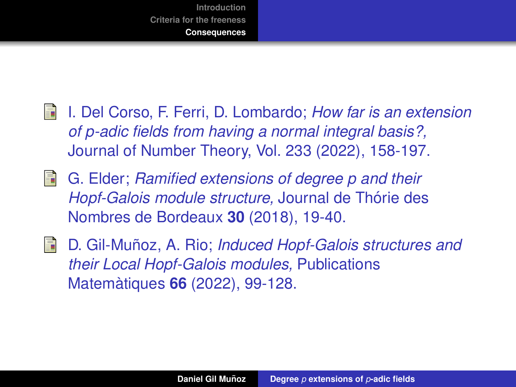

- I. Del Corso, F. Ferri, D. Lombardo; *How far is an extension* 螶 *of p-adic fields from having a normal integral basis?,* Journal of Number Theory, Vol. 233 (2022), 158-197.
- 矗 G. Elder; *Ramified extensions of degree p and their Hopf-Galois module structure, Journal de Thórie des* Nombres de Bordeaux **30** (2018), 19-40.
- 量 D. Gil-Muñoz, A. Rio; *Induced Hopf-Galois structures and their Local Hopf-Galois modules,* Publications Matemàtiques **66** (2022), 99-128.